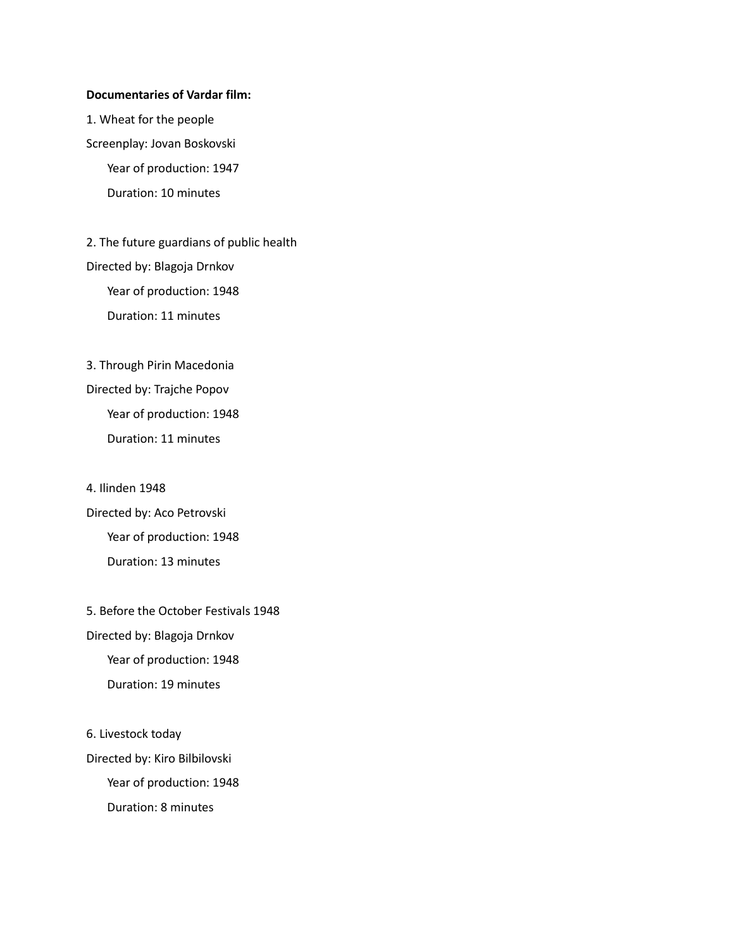#### **Documentaries of Vardar film:**

1. Wheat for the people Screenplay: Jovan Boskovski Year of production: 1947 Duration: 10 minutes

2. The future guardians of public health Directed by: Blagoja Drnkov Year of production: 1948 Duration: 11 minutes

3. Through Pirin Macedonia Directed by: Trajche Popov Year of production: 1948 Duration: 11 minutes

4. Ilinden 1948 Directed by: Aco Petrovski Year of production: 1948 Duration: 13 minutes

5. Before the October Festivals 1948 Directed by: Blagoja Drnkov Year of production: 1948 Duration: 19 minutes

6. Livestock today

Directed by: Kiro Bilbilovski Year of production: 1948 Duration: 8 minutes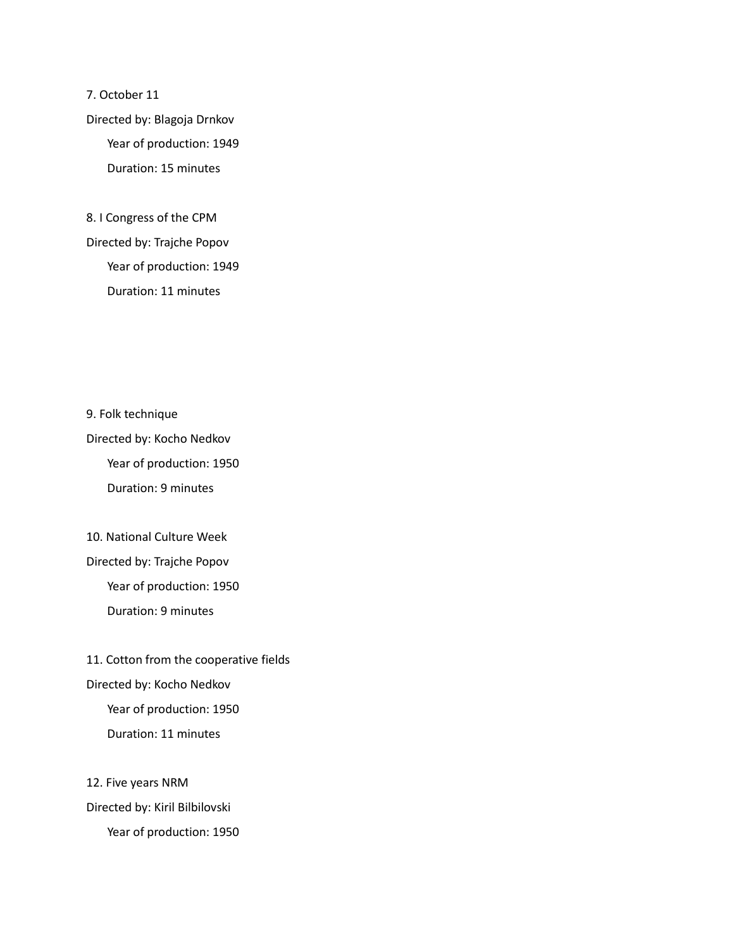7. October 11 Directed by: Blagoja Drnkov Year of production: 1949 Duration: 15 minutes

8. I Congress of the CPM Directed by: Trajche Popov Year of production: 1949 Duration: 11 minutes

9. Folk technique Directed by: Kocho Nedkov Year of production: 1950 Duration: 9 minutes

10. National Culture Week Directed by: Trajche Popov Year of production: 1950 Duration: 9 minutes

11. Cotton from the cooperative fields Directed by: Kocho Nedkov Year of production: 1950 Duration: 11 minutes

12. Five years NRM Directed by: Kiril Bilbilovski Year of production: 1950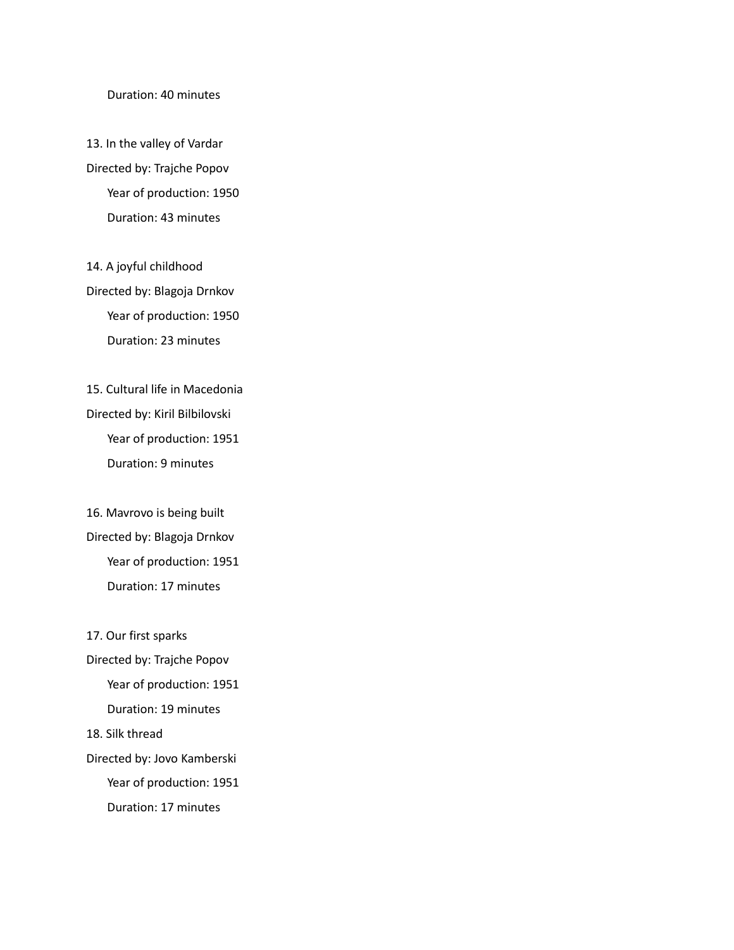#### Duration: 40 minutes

13. In the valley of Vardar Directed by: Trajche Popov Year of production: 1950 Duration: 43 minutes

14. A joyful childhood Directed by: Blagoja Drnkov Year of production: 1950 Duration: 23 minutes

15. Cultural life in Macedonia Directed by: Kiril Bilbilovski Year of production: 1951 Duration: 9 minutes

16. Mavrovo is being built Directed by: Blagoja Drnkov Year of production: 1951 Duration: 17 minutes

17. Our first sparks Directed by: Trajche Popov Year of production: 1951 Duration: 19 minutes 18. Silk thread Directed by: Jovo Kamberski Year of production: 1951 Duration: 17 minutes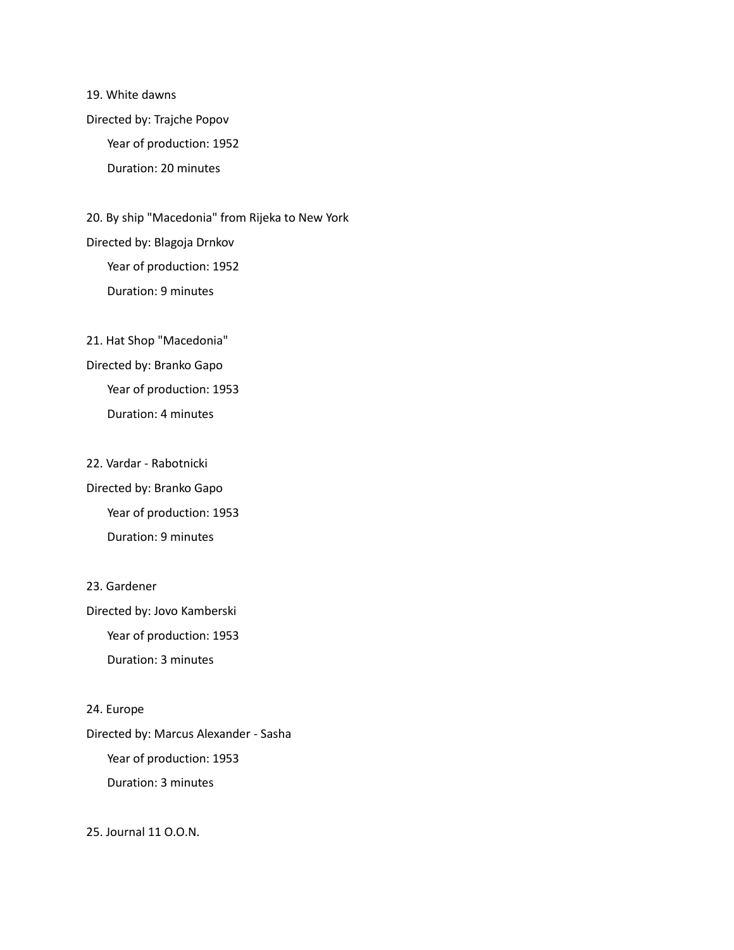19. White dawns Directed by: Trajche Popov Year of production: 1952 Duration: 20 minutes

20. By ship "Macedonia" from Rijeka to New York Directed by: Blagoja Drnkov Year of production: 1952 Duration: 9 minutes

21. Hat Shop "Macedonia" Directed by: Branko Gapo Year of production: 1953 Duration: 4 minutes

22. Vardar - Rabotnicki Directed by: Branko Gapo Year of production: 1953 Duration: 9 minutes

Directed by: Jovo Kamberski Year of production: 1953 Duration: 3 minutes

23. Gardener

24. Europe Directed by: Marcus Alexander - Sasha Year of production: 1953 Duration: 3 minutes

25. Journal 11 O.O.N.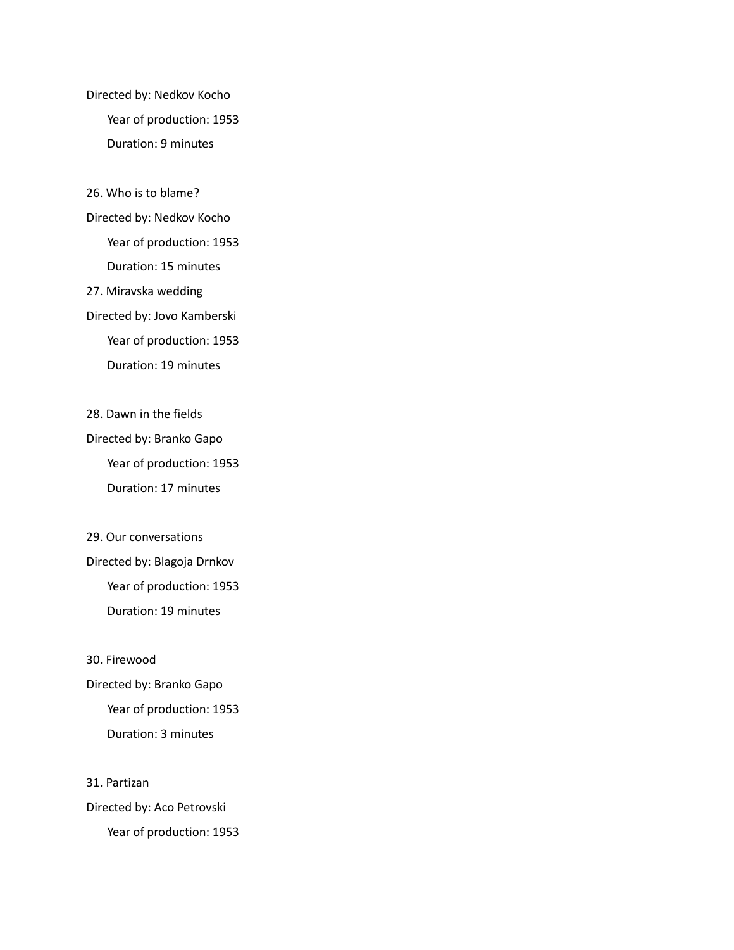Directed by: Nedkov Kocho Year of production: 1953 Duration: 9 minutes

26. Who is to blame?

Directed by: Nedkov Kocho

Year of production: 1953

Duration: 15 minutes

27. Miravska wedding

Directed by: Jovo Kamberski

Year of production: 1953

Duration: 19 minutes

28. Dawn in the fields

Directed by: Branko Gapo Year of production: 1953 Duration: 17 minutes

29. Our conversations Directed by: Blagoja Drnkov Year of production: 1953 Duration: 19 minutes

30. Firewood Directed by: Branko Gapo Year of production: 1953 Duration: 3 minutes

31. Partizan Directed by: Aco Petrovski Year of production: 1953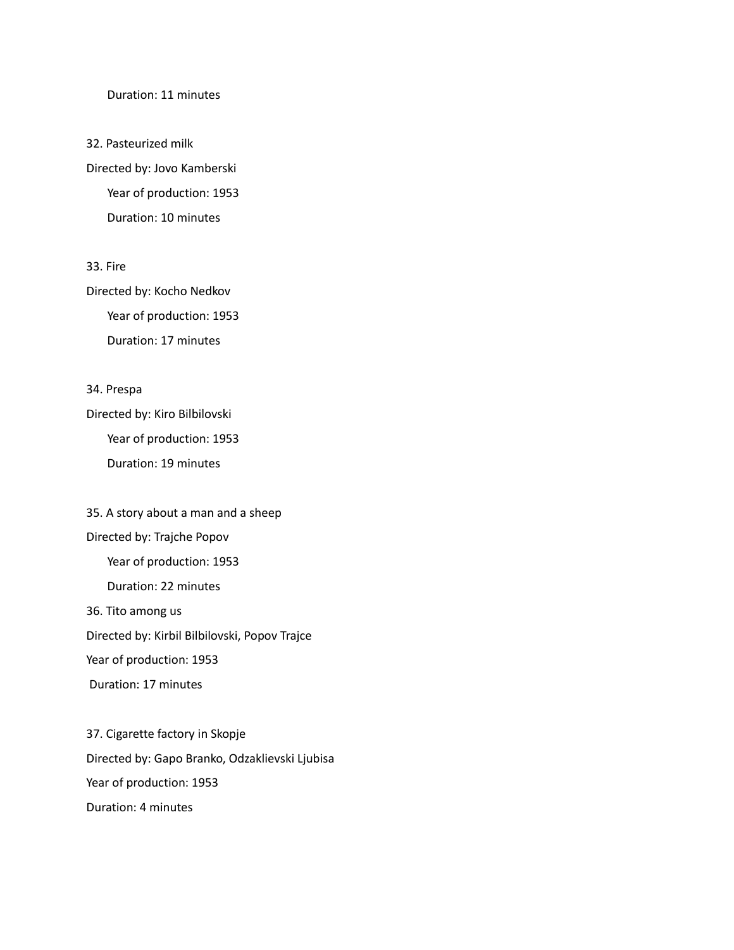#### Duration: 11 minutes

32. Pasteurized milk Directed by: Jovo Kamberski Year of production: 1953 Duration: 10 minutes

33. Fire

Directed by: Kocho Nedkov Year of production: 1953 Duration: 17 minutes

34. Prespa

Directed by: Kiro Bilbilovski Year of production: 1953 Duration: 19 minutes

35. A story about a man and a sheep Directed by: Trajche Popov Year of production: 1953 Duration: 22 minutes 36. Tito among us Directed by: Kirbil Bilbilovski, Popov Trajce Year of production: 1953 Duration: 17 minutes

37. Cigarette factory in Skopje Directed by: Gapo Branko, Odzaklievski Ljubisa Year of production: 1953 Duration: 4 minutes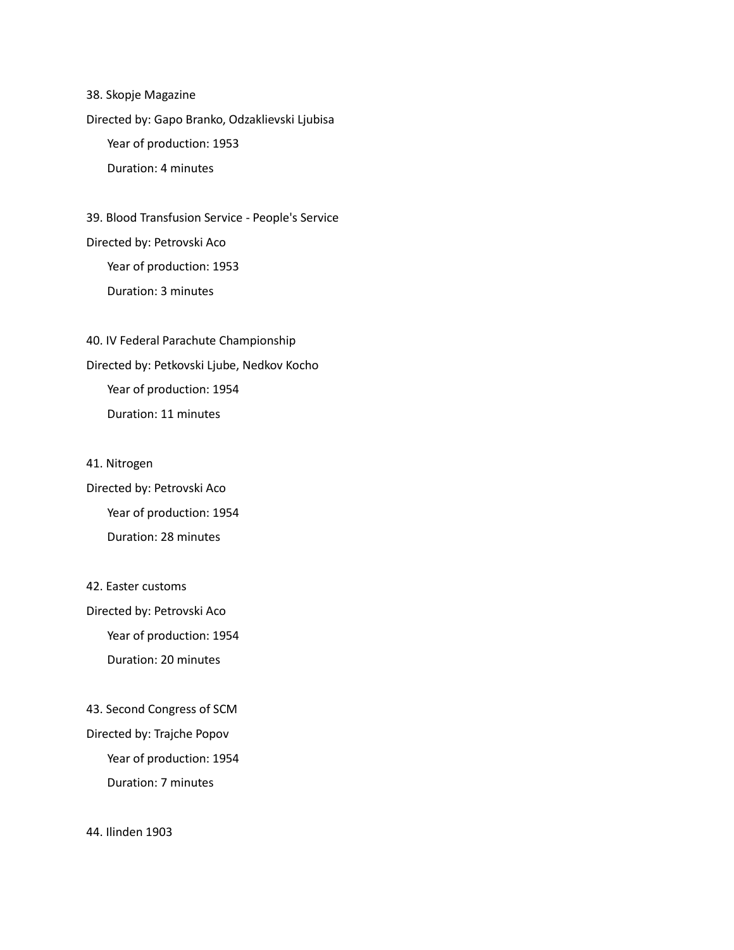38. Skopje Magazine Directed by: Gapo Branko, Odzaklievski Ljubisa Year of production: 1953 Duration: 4 minutes

39. Blood Transfusion Service - People's Service Directed by: Petrovski Aco Year of production: 1953 Duration: 3 minutes

40. IV Federal Parachute Championship Directed by: Petkovski Ljube, Nedkov Kocho Year of production: 1954 Duration: 11 minutes

41. Nitrogen Directed by: Petrovski Aco Year of production: 1954 Duration: 28 minutes

42. Easter customs Directed by: Petrovski Aco Year of production: 1954 Duration: 20 minutes

43. Second Congress of SCM Directed by: Trajche Popov Year of production: 1954 Duration: 7 minutes

44. Ilinden 1903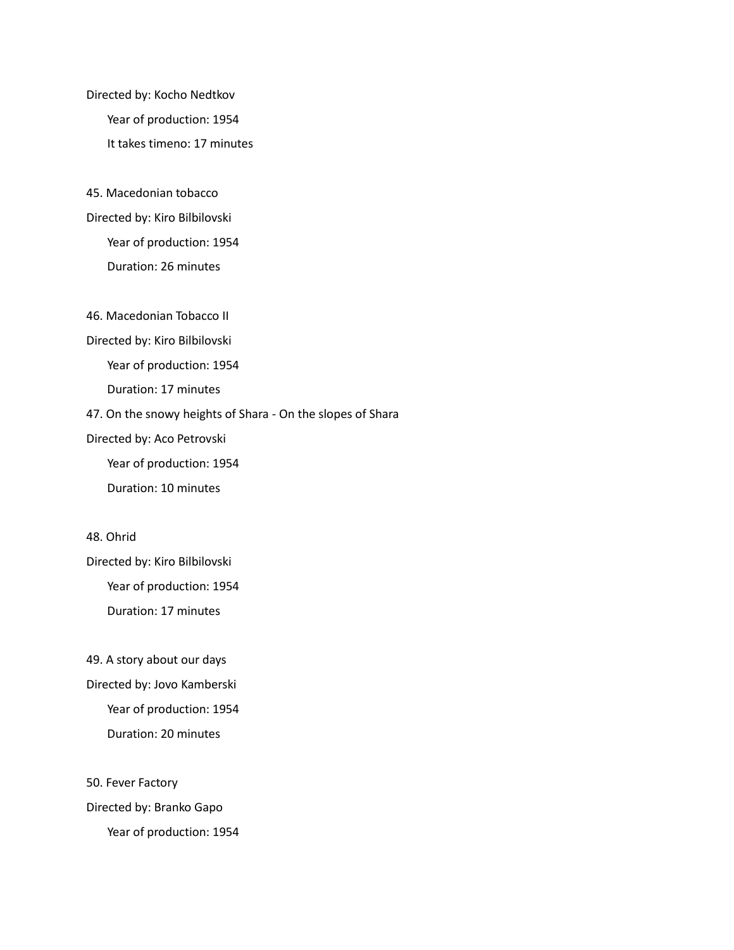Directed by: Kocho Nedtkov Year of production: 1954 It takes timeno: 17 minutes

45. Macedonian tobacco Directed by: Kiro Bilbilovski Year of production: 1954 Duration: 26 minutes

46. Macedonian Tobacco II

Directed by: Kiro Bilbilovski

Year of production: 1954

Duration: 17 minutes

47. On the snowy heights of Shara - On the slopes of Shara

Directed by: Aco Petrovski

Year of production: 1954

Duration: 10 minutes

48. Ohrid

Directed by: Kiro Bilbilovski Year of production: 1954 Duration: 17 minutes

49. A story about our days Directed by: Jovo Kamberski Year of production: 1954 Duration: 20 minutes

50. Fever Factory Directed by: Branko Gapo Year of production: 1954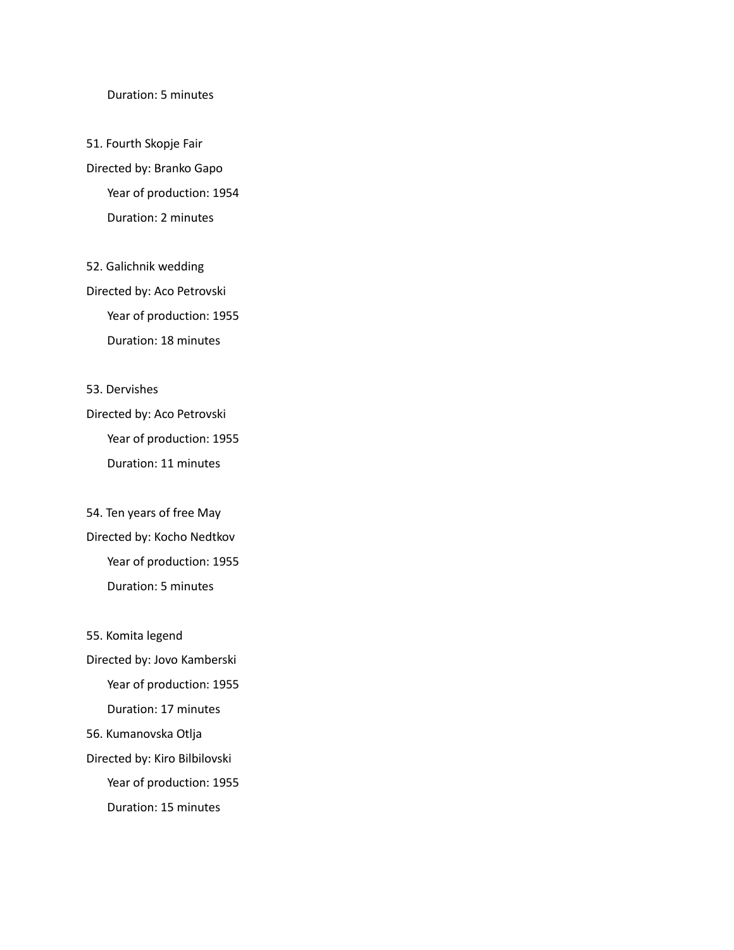#### Duration: 5 minutes

51. Fourth Skopje Fair Directed by: Branko Gapo Year of production: 1954 Duration: 2 minutes

52. Galichnik wedding Directed by: Aco Petrovski Year of production: 1955 Duration: 18 minutes

53. Dervishes

Directed by: Aco Petrovski Year of production: 1955 Duration: 11 minutes

54. Ten years of free May Directed by: Kocho Nedtkov Year of production: 1955 Duration: 5 minutes

55. Komita legend Directed by: Jovo Kamberski Year of production: 1955 Duration: 17 minutes 56. Kumanovska Otlja Directed by: Kiro Bilbilovski Year of production: 1955 Duration: 15 minutes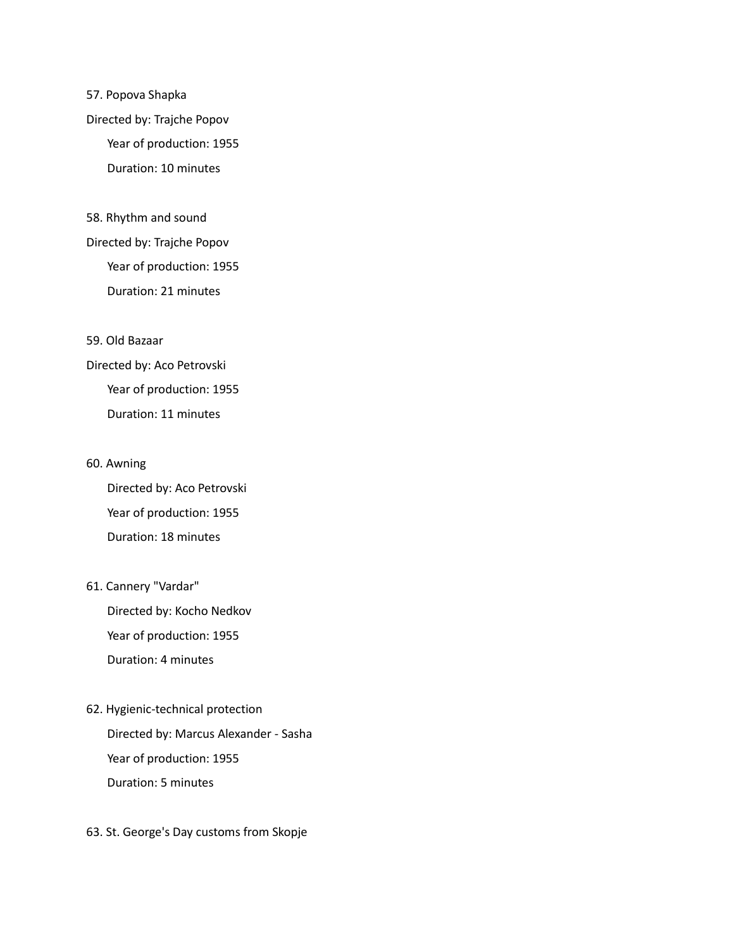## 57. Popova Shapka Directed by: Trajche Popov Year of production: 1955 Duration: 10 minutes

58. Rhythm and sound Directed by: Trajche Popov Year of production: 1955 Duration: 21 minutes

59. Old Bazaar

Directed by: Aco Petrovski Year of production: 1955 Duration: 11 minutes

#### 60. Awning

Directed by: Aco Petrovski Year of production: 1955 Duration: 18 minutes

#### 61. Cannery "Vardar"

Directed by: Kocho Nedkov Year of production: 1955 Duration: 4 minutes

## 62. Hygienic-technical protection Directed by: Marcus Alexander - Sasha Year of production: 1955 Duration: 5 minutes

63. St. George's Day customs from Skopje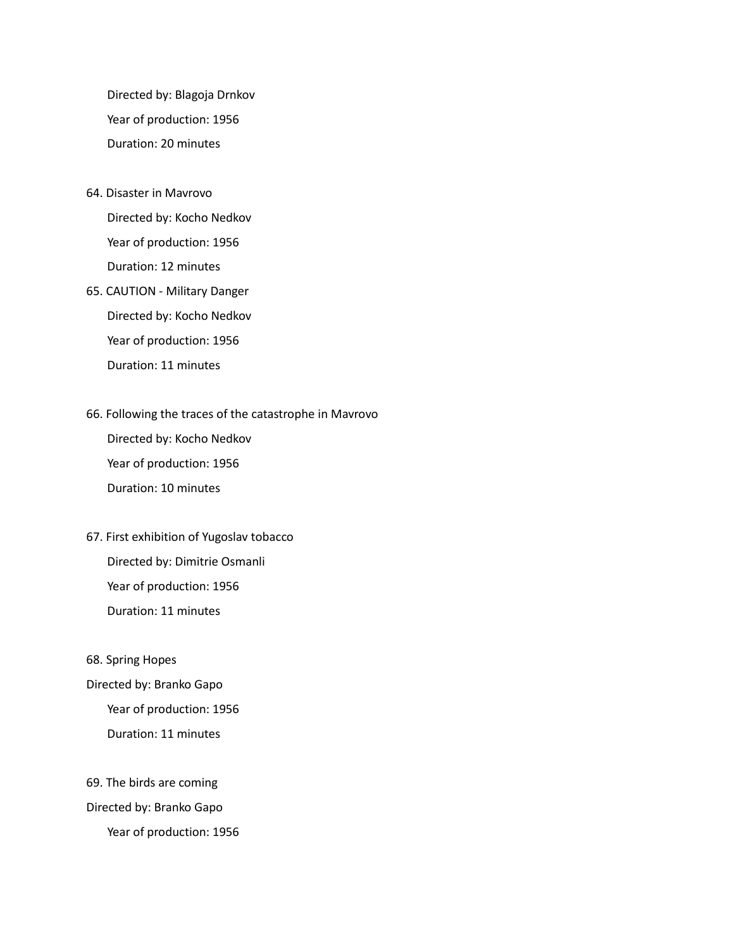Directed by: Blagoja Drnkov Year of production: 1956 Duration: 20 minutes

64. Disaster in Mavrovo

Directed by: Kocho Nedkov Year of production: 1956 Duration: 12 minutes

65. CAUTION - Military Danger Directed by: Kocho Nedkov Year of production: 1956 Duration: 11 minutes

#### 66. Following the traces of the catastrophe in Mavrovo

Directed by: Kocho Nedkov Year of production: 1956 Duration: 10 minutes

67. First exhibition of Yugoslav tobacco Directed by: Dimitrie Osmanli Year of production: 1956 Duration: 11 minutes

68. Spring Hopes

Directed by: Branko Gapo Year of production: 1956 Duration: 11 minutes

69. The birds are coming Directed by: Branko Gapo Year of production: 1956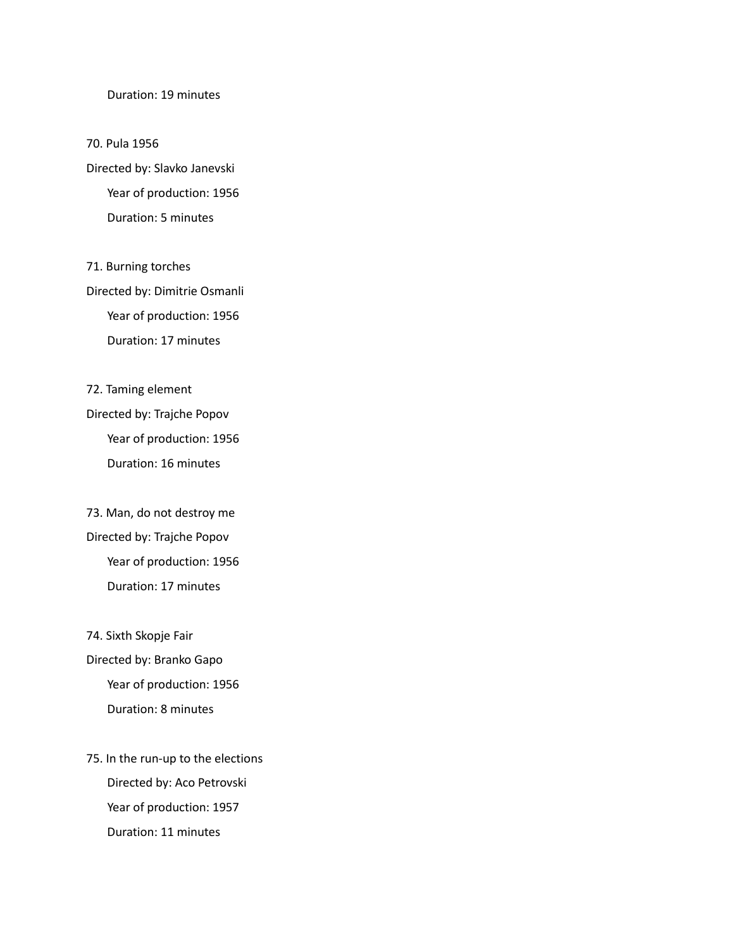#### Duration: 19 minutes

70. Pula 1956 Directed by: Slavko Janevski Year of production: 1956 Duration: 5 minutes

71. Burning torches Directed by: Dimitrie Osmanli Year of production: 1956 Duration: 17 minutes

72. Taming element Directed by: Trajche Popov Year of production: 1956 Duration: 16 minutes

73. Man, do not destroy me Directed by: Trajche Popov Year of production: 1956 Duration: 17 minutes

74. Sixth Skopje Fair Directed by: Branko Gapo Year of production: 1956 Duration: 8 minutes

75. In the run-up to the elections Directed by: Aco Petrovski Year of production: 1957 Duration: 11 minutes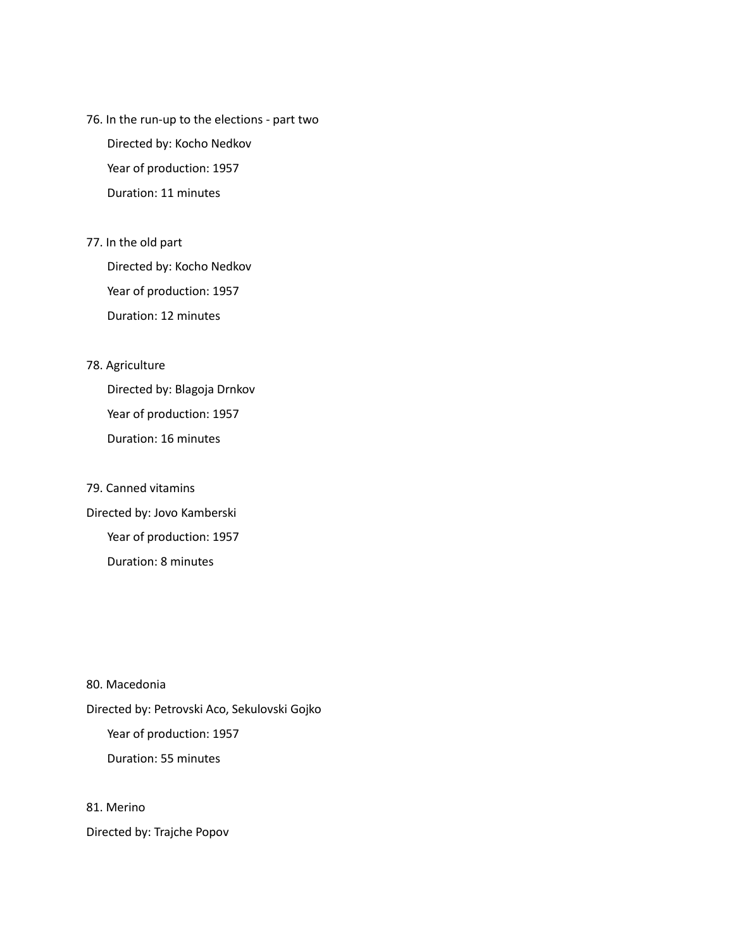76. In the run-up to the elections - part two

Directed by: Kocho Nedkov Year of production: 1957 Duration: 11 minutes

77. In the old part

Directed by: Kocho Nedkov Year of production: 1957 Duration: 12 minutes

#### 78. Agriculture

Directed by: Blagoja Drnkov Year of production: 1957 Duration: 16 minutes

79. Canned vitamins Directed by: Jovo Kamberski Year of production: 1957 Duration: 8 minutes

80. Macedonia Directed by: Petrovski Aco, Sekulovski Gojko Year of production: 1957 Duration: 55 minutes

81. Merino

Directed by: Trajche Popov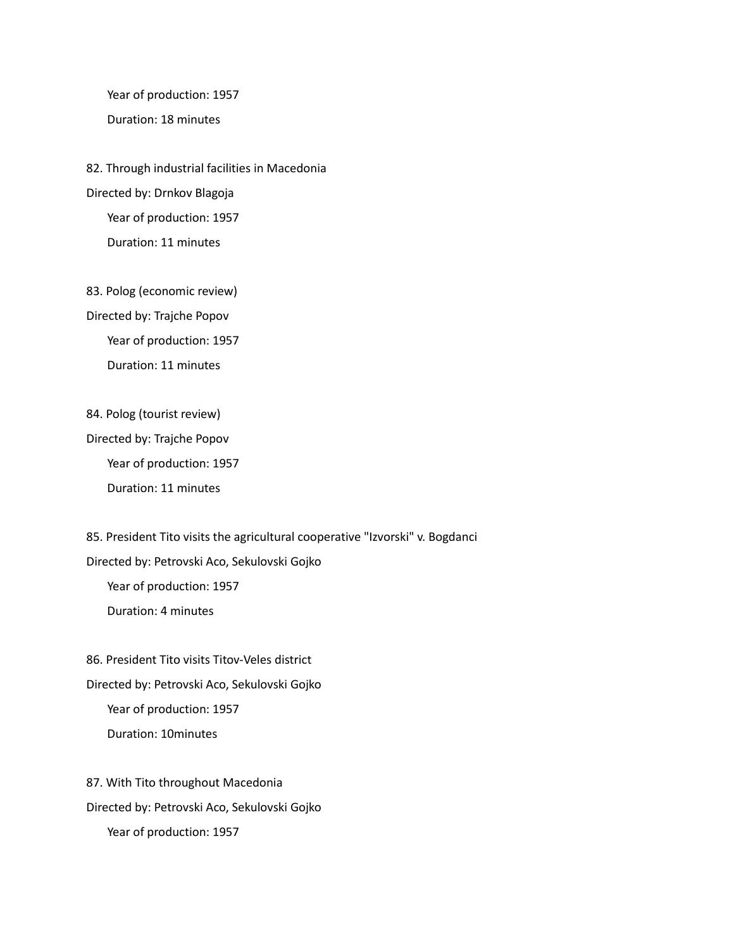Year of production: 1957

Duration: 18 minutes

82. Through industrial facilities in Macedonia Directed by: Drnkov Blagoja Year of production: 1957 Duration: 11 minutes

83. Polog (economic review) Directed by: Trajche Popov Year of production: 1957 Duration: 11 minutes

84. Polog (tourist review)

Directed by: Trajche Popov Year of production: 1957 Duration: 11 minutes

85. President Tito visits the agricultural cooperative "Izvorski" v. Bogdanci Directed by: Petrovski Aco, Sekulovski Gojko Year of production: 1957 Duration: 4 minutes

86. President Tito visits Titov-Veles district Directed by: Petrovski Aco, Sekulovski Gojko Year of production: 1957 Duration: 10minutes

87. With Tito throughout Macedonia Directed by: Petrovski Aco, Sekulovski Gojko Year of production: 1957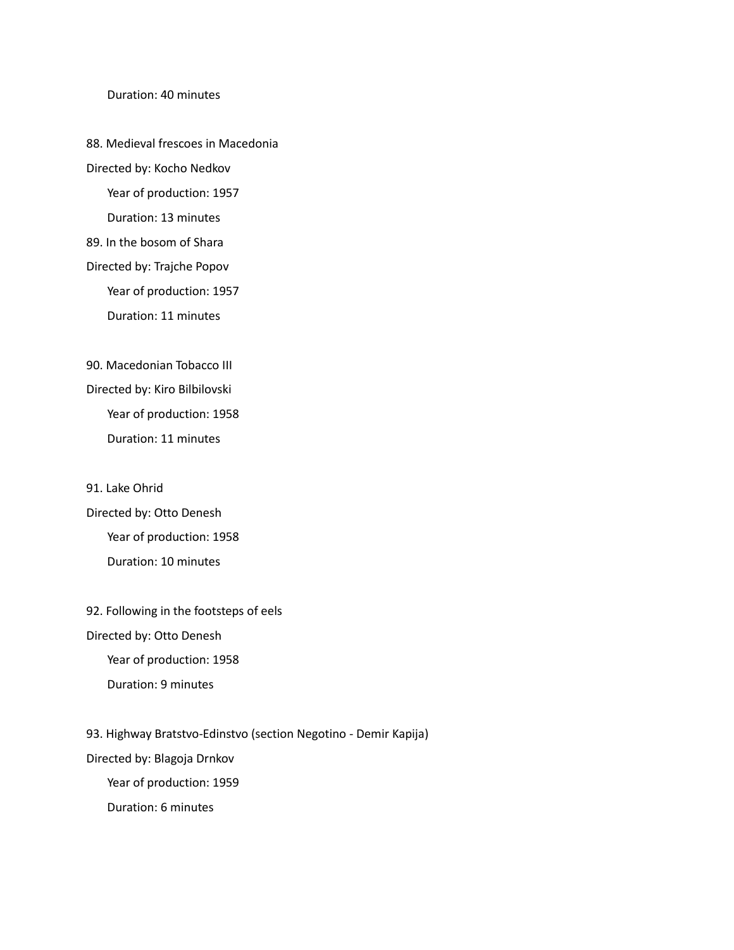#### Duration: 40 minutes

88. Medieval frescoes in Macedonia Directed by: Kocho Nedkov Year of production: 1957 Duration: 13 minutes 89. In the bosom of Shara Directed by: Trajche Popov

Year of production: 1957

Duration: 11 minutes

90. Macedonian Tobacco III Directed by: Kiro Bilbilovski Year of production: 1958 Duration: 11 minutes

91. Lake Ohrid Directed by: Otto Denesh Year of production: 1958

Duration: 10 minutes

92. Following in the footsteps of eels

Directed by: Otto Denesh

Year of production: 1958

Duration: 9 minutes

93. Highway Bratstvo-Edinstvo (section Negotino - Demir Kapija)

Directed by: Blagoja Drnkov

Year of production: 1959

Duration: 6 minutes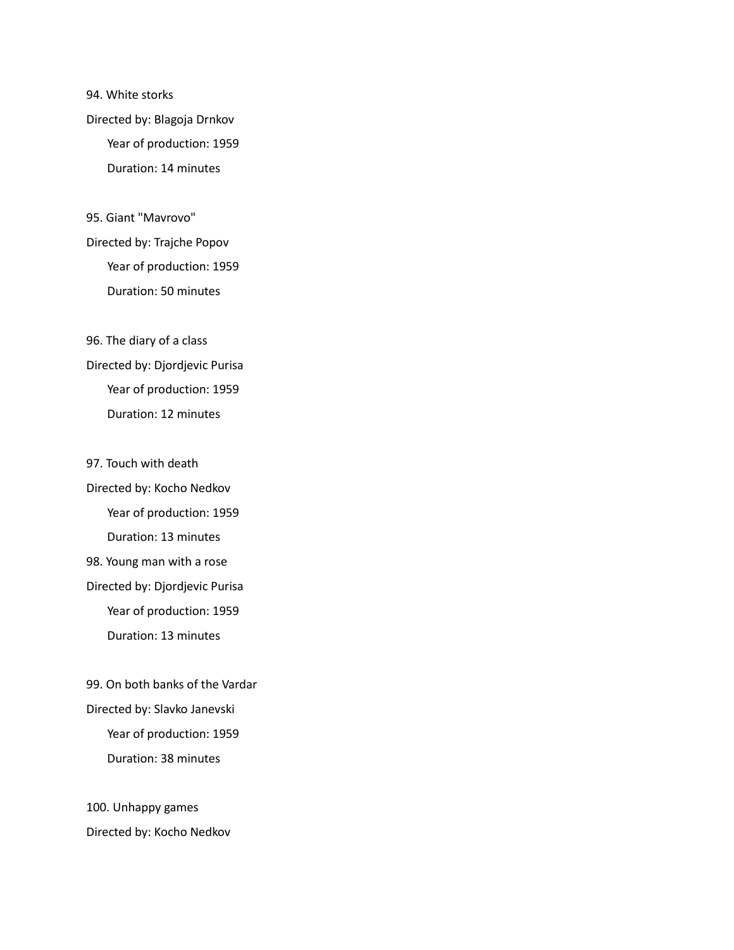94. White storks Directed by: Blagoja Drnkov Year of production: 1959 Duration: 14 minutes

95. Giant "Mavrovo" Directed by: Trajche Popov Year of production: 1959 Duration: 50 minutes

96. The diary of a class Directed by: Djordjevic Purisa Year of production: 1959 Duration: 12 minutes

97. Touch with death Directed by: Kocho Nedkov Year of production: 1959 Duration: 13 minutes 98. Young man with a rose Directed by: Djordjevic Purisa Year of production: 1959 Duration: 13 minutes

99. On both banks of the Vardar Directed by: Slavko Janevski Year of production: 1959 Duration: 38 minutes

100. Unhappy games Directed by: Kocho Nedkov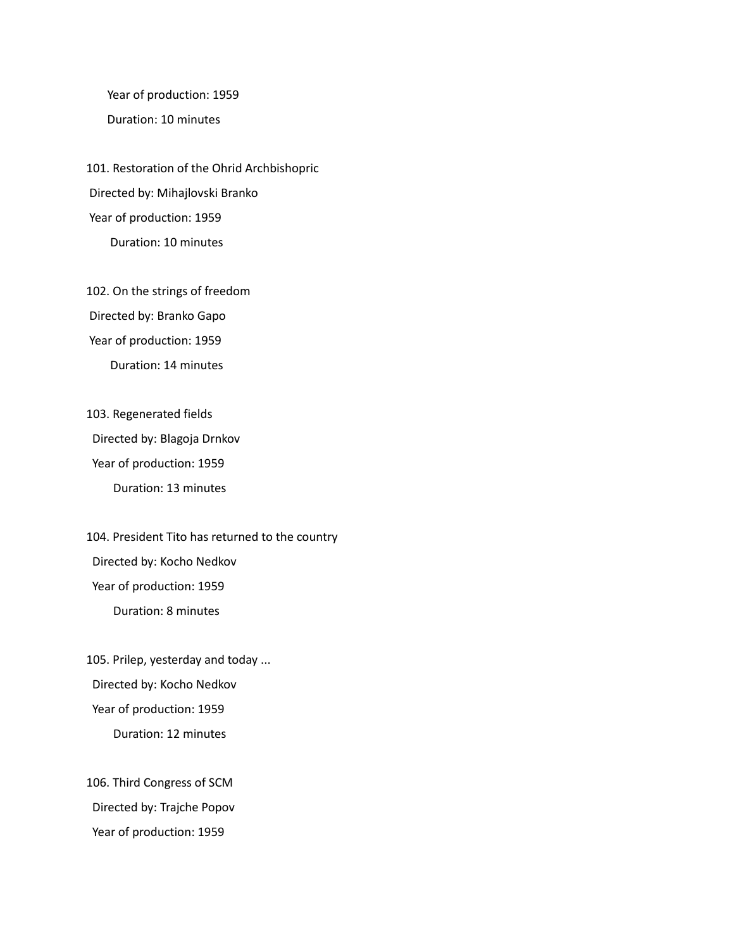Year of production: 1959 Duration: 10 minutes

101. Restoration of the Ohrid Archbishopric Directed by: Mihajlovski Branko Year of production: 1959 Duration: 10 minutes

102. On the strings of freedom Directed by: Branko Gapo Year of production: 1959 Duration: 14 minutes

103. Regenerated fields Directed by: Blagoja Drnkov Year of production: 1959 Duration: 13 minutes

104. President Tito has returned to the country Directed by: Kocho Nedkov Year of production: 1959 Duration: 8 minutes

105. Prilep, yesterday and today ... Directed by: Kocho Nedkov Year of production: 1959 Duration: 12 minutes

106. Third Congress of SCM Directed by: Trajche Popov Year of production: 1959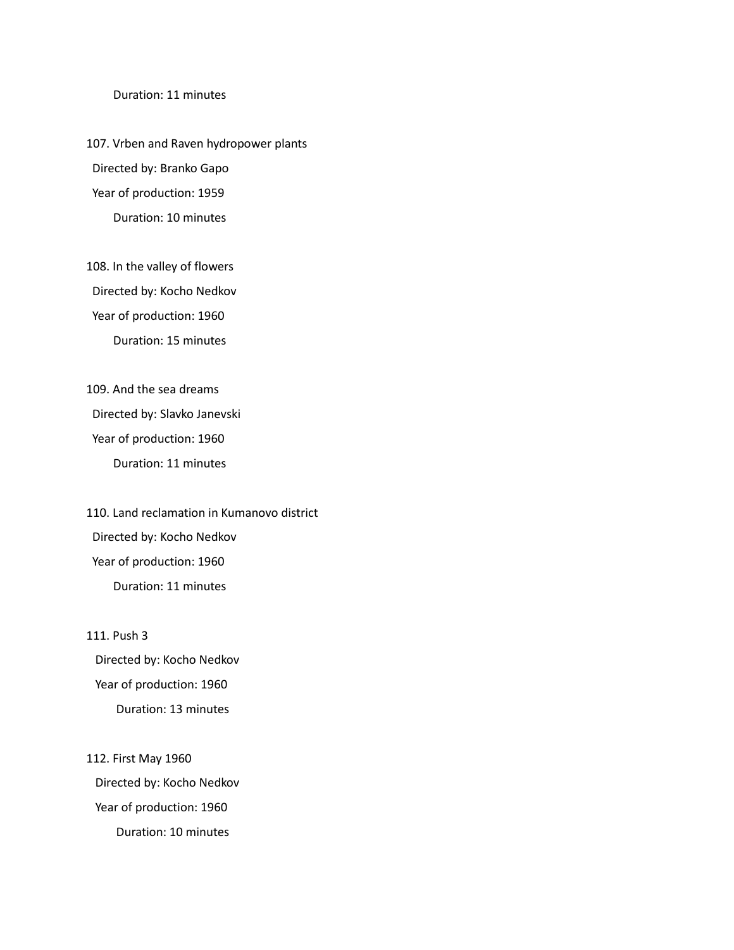Duration: 11 minutes

107. Vrben and Raven hydropower plants Directed by: Branko Gapo Year of production: 1959 Duration: 10 minutes

108. In the valley of flowers Directed by: Kocho Nedkov Year of production: 1960 Duration: 15 minutes

109. And the sea dreams Directed by: Slavko Janevski Year of production: 1960 Duration: 11 minutes

110. Land reclamation in Kumanovo district Directed by: Kocho Nedkov Year of production: 1960 Duration: 11 minutes

111. Push 3 Directed by: Kocho Nedkov Year of production: 1960 Duration: 13 minutes

112. First May 1960 Directed by: Kocho Nedkov Year of production: 1960 Duration: 10 minutes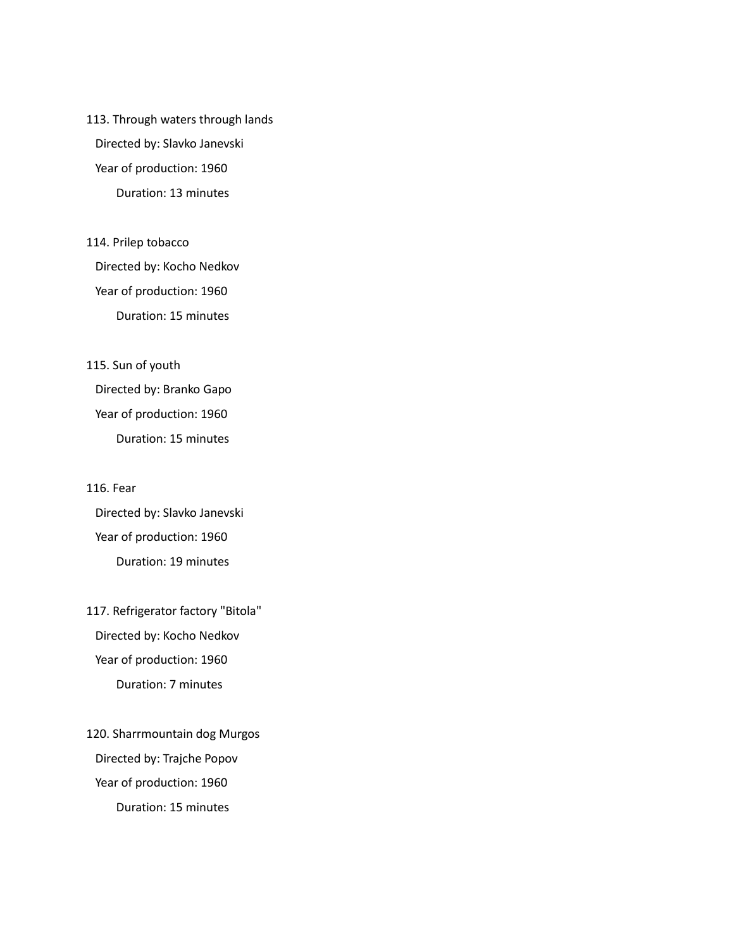113. Through waters through lands Directed by: Slavko Janevski Year of production: 1960 Duration: 13 minutes

114. Prilep tobacco Directed by: Kocho Nedkov Year of production: 1960 Duration: 15 minutes

115. Sun of youth Directed by: Branko Gapo Year of production: 1960 Duration: 15 minutes

#### 116. Fear

Directed by: Slavko Janevski Year of production: 1960 Duration: 19 minutes

117. Refrigerator factory "Bitola" Directed by: Kocho Nedkov Year of production: 1960 Duration: 7 minutes

120. Sharrmountain dog Murgos Directed by: Trajche Popov Year of production: 1960 Duration: 15 minutes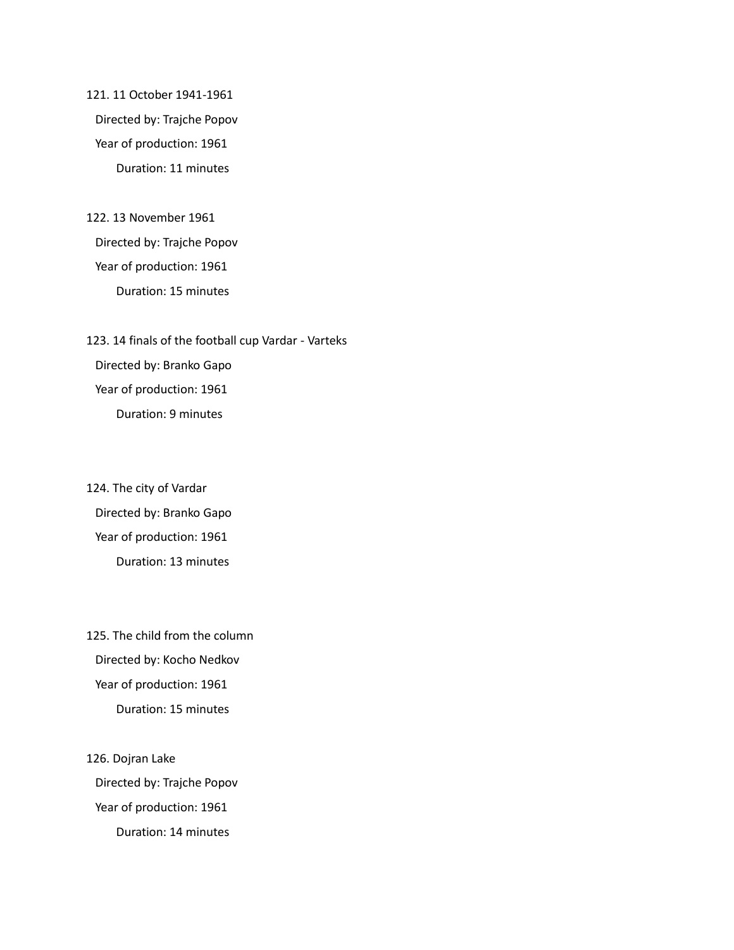121. 11 October 1941-1961 Directed by: Trajche Popov Year of production: 1961 Duration: 11 minutes

122. 13 November 1961 Directed by: Trajche Popov Year of production: 1961 Duration: 15 minutes

123. 14 finals of the football cup Vardar - Varteks Directed by: Branko Gapo Year of production: 1961 Duration: 9 minutes

124. The city of Vardar Directed by: Branko Gapo Year of production: 1961 Duration: 13 minutes

125. The child from the column Directed by: Kocho Nedkov Year of production: 1961 Duration: 15 minutes

126. Dojran Lake Directed by: Trajche Popov Year of production: 1961 Duration: 14 minutes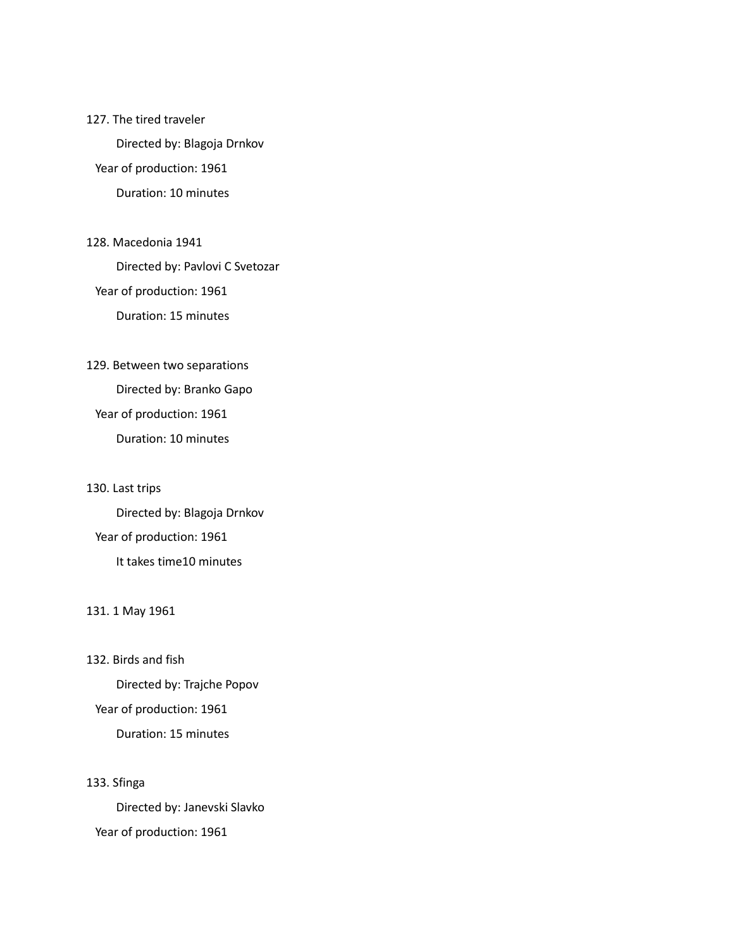#### 127. The tired traveler

Directed by: Blagoja Drnkov

Year of production: 1961

Duration: 10 minutes

# 128. Macedonia 1941

Directed by: Pavlovi С Svetozar

Year of production: 1961

Duration: 15 minutes

### 129. Between two separations

Directed by: Branko Gapo Year of production: 1961 Duration: 10 minutes

#### 130. Last trips

Directed by: Blagoja Drnkov Year of production: 1961 It takes time10 minutes

#### 131. 1 May 1961

132. Birds and fish

Directed by: Trajche Popov Year of production: 1961 Duration: 15 minutes

#### 133. Sfinga

Directed by: Janevski Slavko Year of production: 1961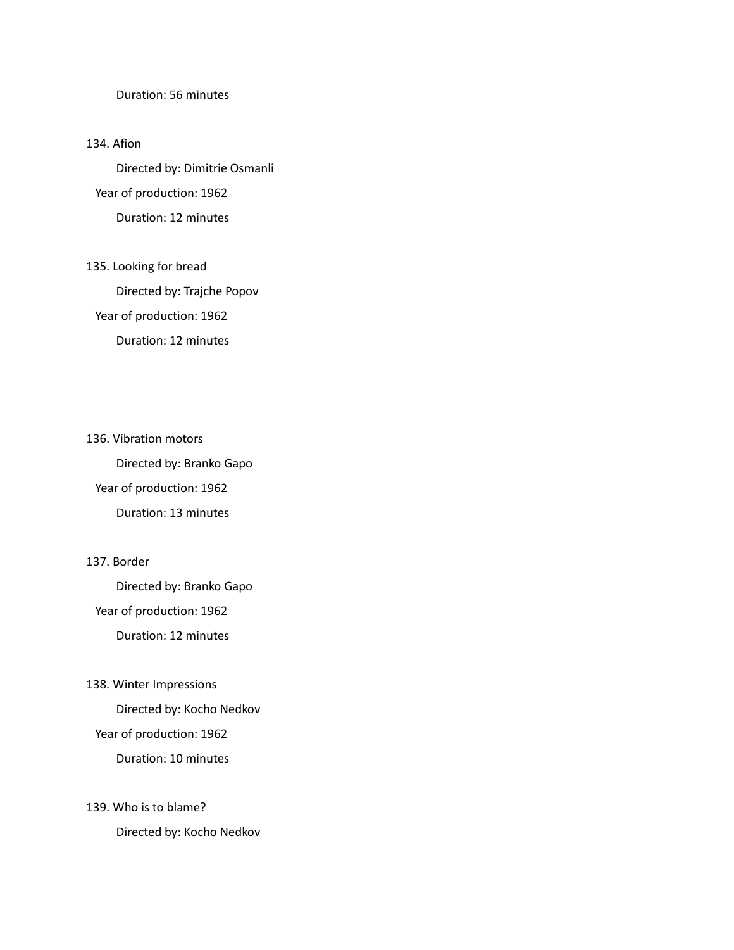#### Duration: 56 minutes

#### 134. Afion

Directed by: Dimitrie Osmanli Year of production: 1962 Duration: 12 minutes

## 135. Looking for bread Directed by: Trajche Popov Year of production: 1962 Duration: 12 minutes

136. Vibration motors Directed by: Branko Gapo Year of production: 1962 Duration: 13 minutes

#### 137. Border

Directed by: Branko Gapo Year of production: 1962 Duration: 12 minutes

#### 138. Winter Impressions

Directed by: Kocho Nedkov

#### Year of production: 1962

Duration: 10 minutes

#### 139. Who is to blame?

Directed by: Kocho Nedkov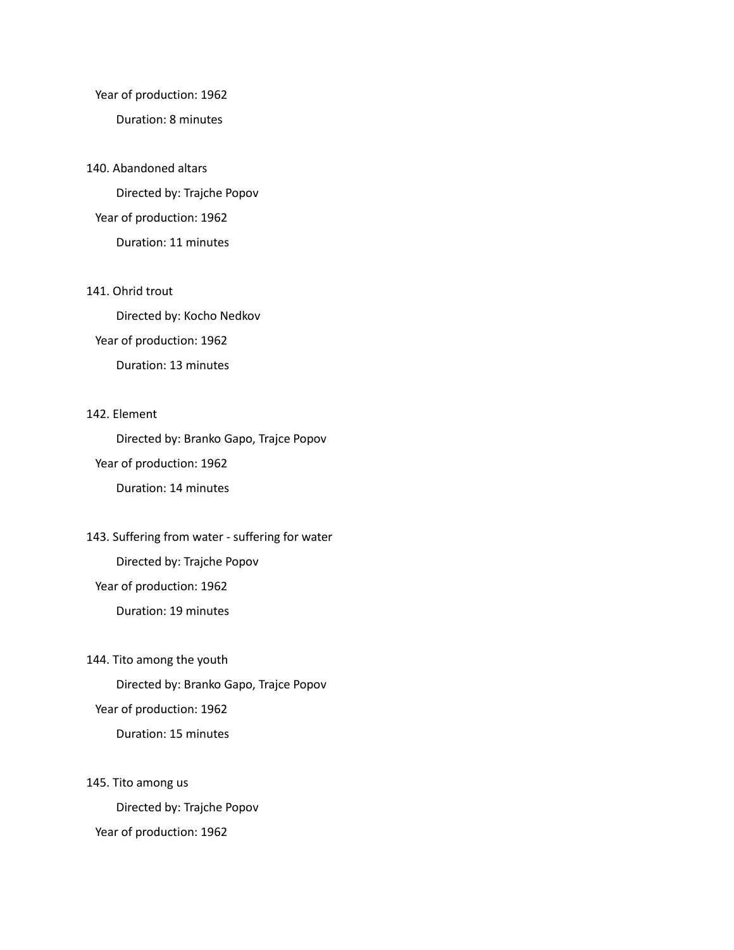#### Year of production: 1962

#### Duration: 8 minutes

#### 140. Abandoned altars

Directed by: Trajche Popov Year of production: 1962 Duration: 11 minutes

#### 141. Ohrid trout

Directed by: Kocho Nedkov Year of production: 1962 Duration: 13 minutes

#### 142. Element

Directed by: Branko Gapo, Trajce Popov Year of production: 1962 Duration: 14 minutes

143. Suffering from water - suffering for water

Directed by: Trajche Popov

Year of production: 1962

Duration: 19 minutes

#### 144. Tito among the youth

Directed by: Branko Gapo, Trajce Popov Year of production: 1962

Duration: 15 minutes

#### 145. Tito among us

Directed by: Trajche Popov Year of production: 1962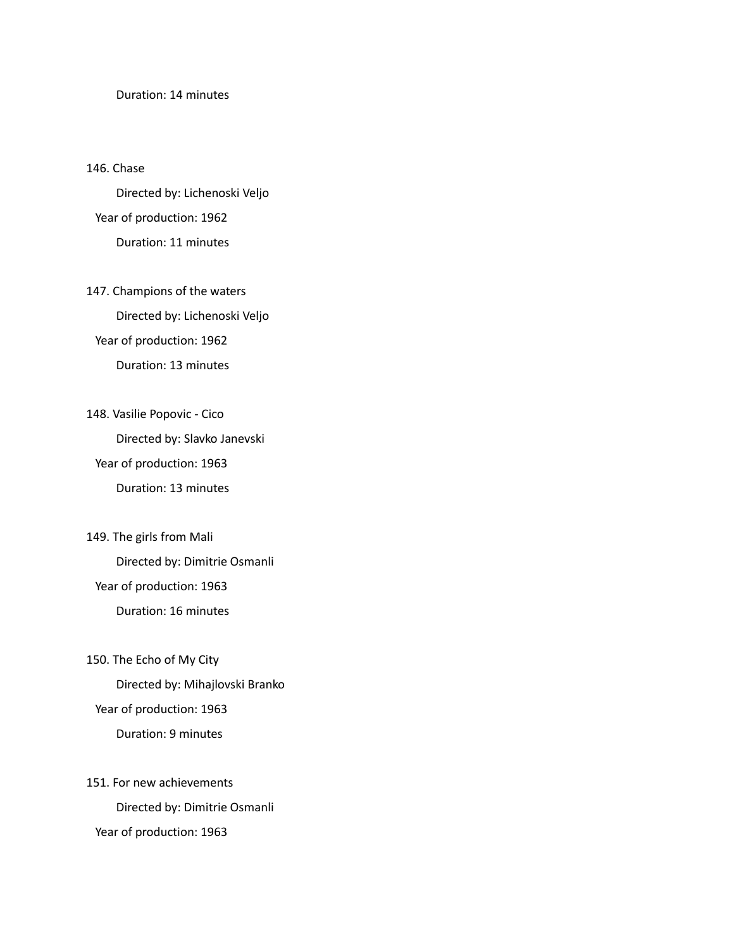#### Duration: 14 minutes

#### 146. Chase

Directed by: Lichenoski Veljo Year of production: 1962 Duration: 11 minutes

147. Champions of the waters Directed by: Lichenoski Veljo Year of production: 1962 Duration: 13 minutes

148. Vasilie Popovic - Cico Directed by: Slavko Janevski Year of production: 1963 Duration: 13 minutes

149. The girls from Mali Directed by: Dimitrie Osmanli Year of production: 1963 Duration: 16 minutes

#### 150. The Echo of My City

Directed by: Mihajlovski Branko Year of production: 1963 Duration: 9 minutes

151. For new achievements Directed by: Dimitrie Osmanli Year of production: 1963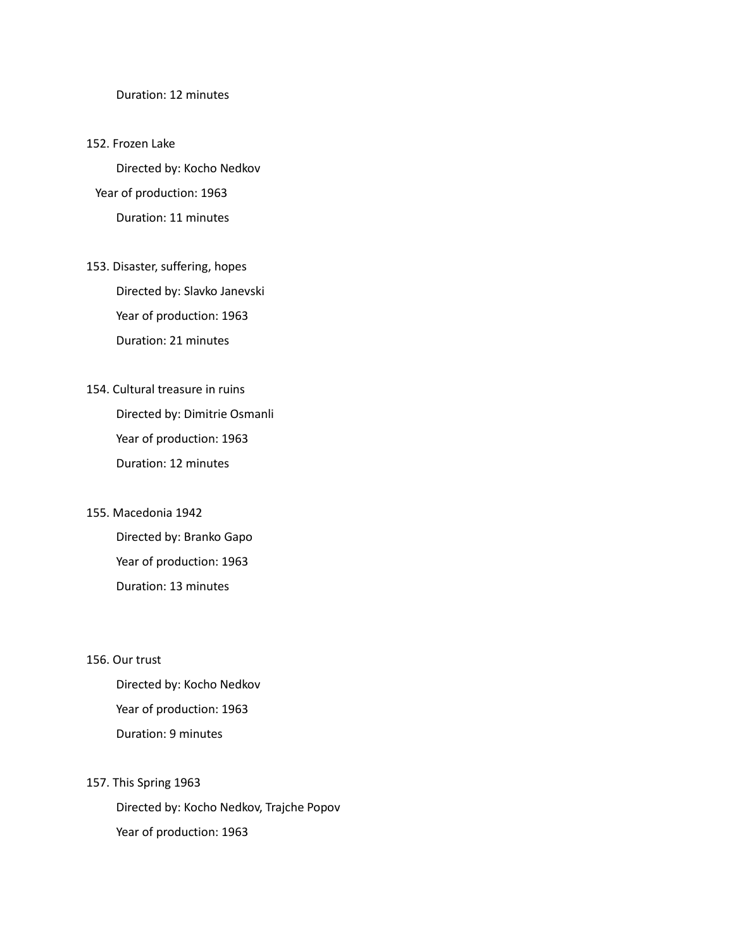Duration: 12 minutes

#### 152. Frozen Lake

Directed by: Kocho Nedkov Year of production: 1963 Duration: 11 minutes

- 153. Disaster, suffering, hopes Directed by: Slavko Janevski Year of production: 1963 Duration: 21 minutes
- 154. Cultural treasure in ruins Directed by: Dimitrie Osmanli Year of production: 1963 Duration: 12 minutes

#### 155. Macedonia 1942

Directed by: Branko Gapo Year of production: 1963 Duration: 13 minutes

#### 156. Our trust

Directed by: Kocho Nedkov Year of production: 1963 Duration: 9 minutes

#### 157. This Spring 1963

Directed by: Kocho Nedkov, Trajche Popov Year of production: 1963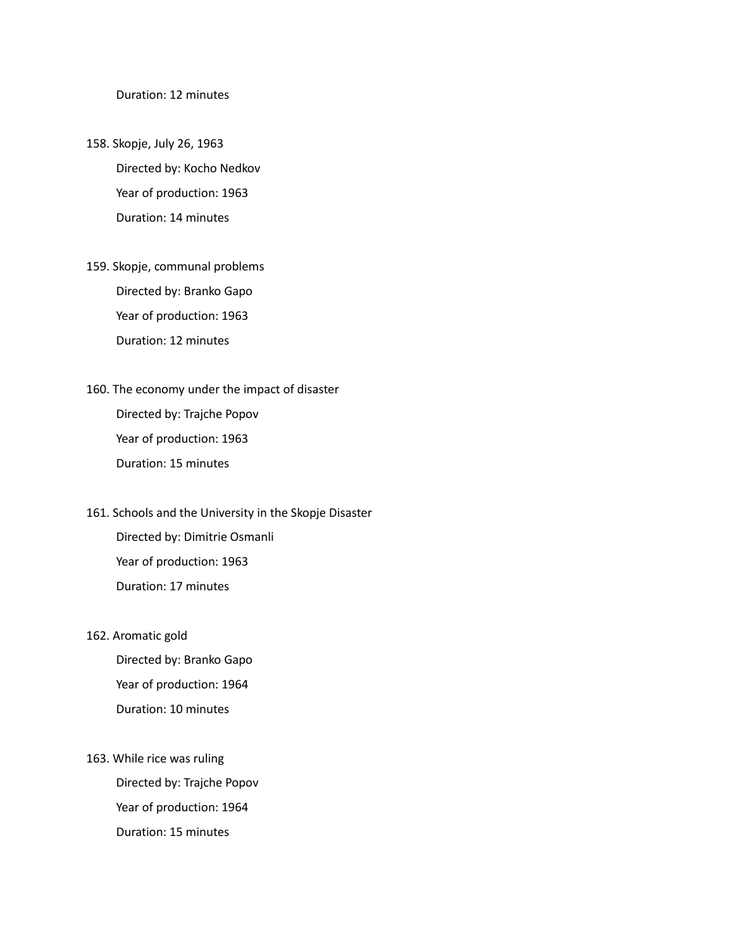Duration: 12 minutes

158. Skopje, July 26, 1963 Directed by: Kocho Nedkov Year of production: 1963 Duration: 14 minutes

- 159. Skopje, communal problems Directed by: Branko Gapo Year of production: 1963 Duration: 12 minutes
- 160. The economy under the impact of disaster Directed by: Trajche Popov Year of production: 1963 Duration: 15 minutes
- 161. Schools and the University in the Skopje Disaster Directed by: Dimitrie Osmanli Year of production: 1963 Duration: 17 minutes
- 162. Aromatic gold

Directed by: Branko Gapo Year of production: 1964 Duration: 10 minutes

163. While rice was ruling Directed by: Trajche Popov Year of production: 1964 Duration: 15 minutes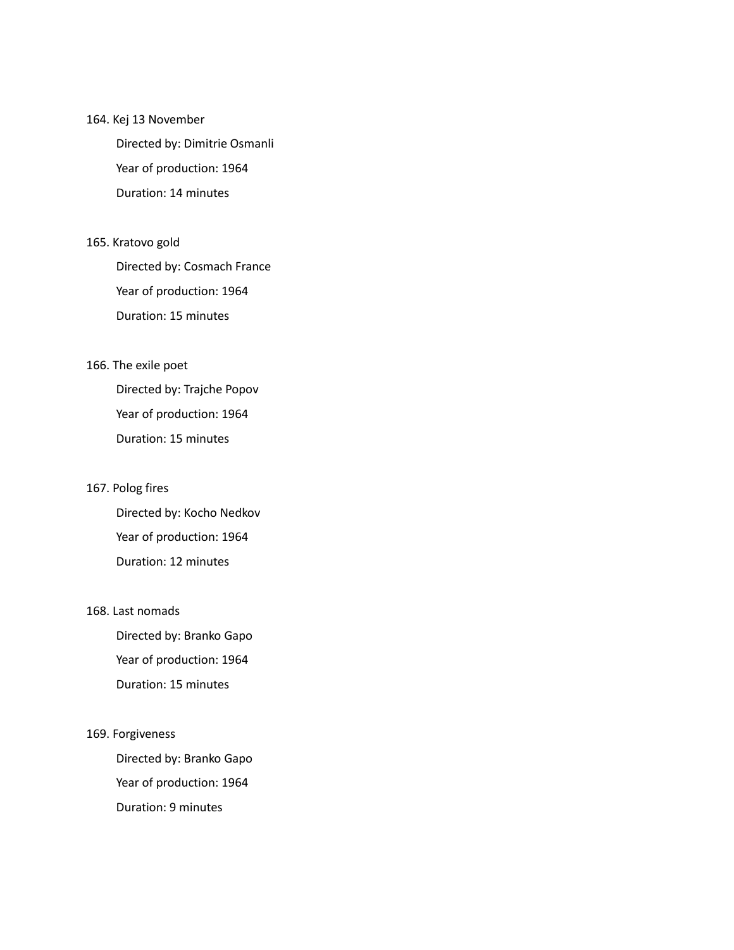#### 164. Kej 13 November

Directed by: Dimitrie Osmanli Year of production: 1964 Duration: 14 minutes

#### 165. Kratovo gold

Directed by: Cosmach France Year of production: 1964 Duration: 15 minutes

#### 166. The exile poet

Directed by: Trajche Popov Year of production: 1964 Duration: 15 minutes

#### 167. Polog fires

Directed by: Kocho Nedkov Year of production: 1964 Duration: 12 minutes

#### 168. Last nomads

Directed by: Branko Gapo Year of production: 1964 Duration: 15 minutes

#### 169. Forgiveness

Directed by: Branko Gapo Year of production: 1964 Duration: 9 minutes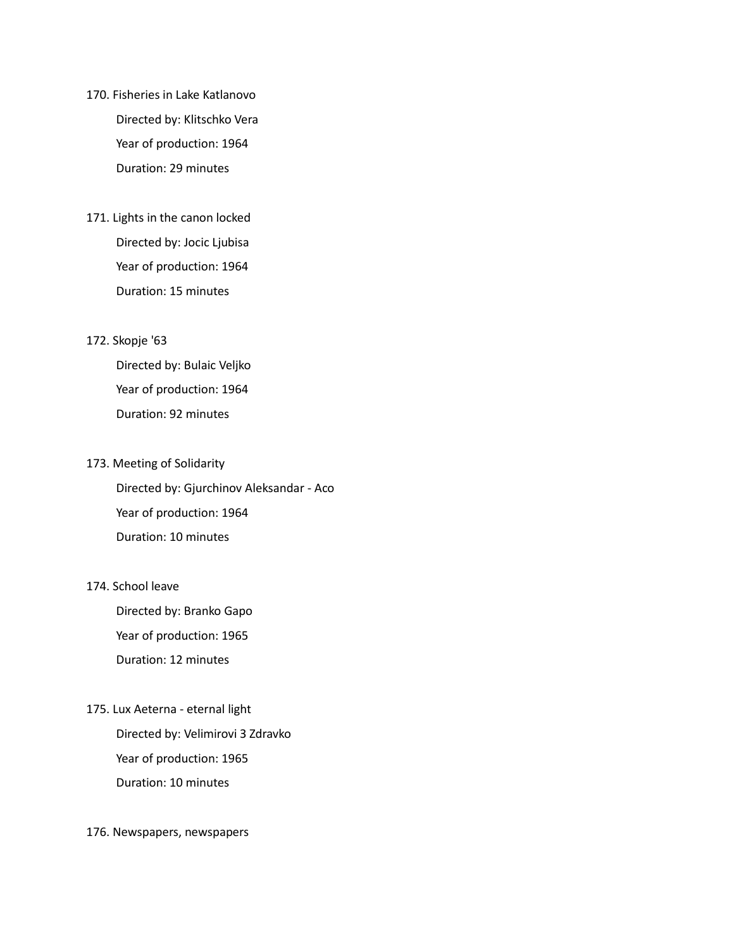- 170. Fisheries in Lake Katlanovo Directed by: Klitschko Vera Year of production: 1964 Duration: 29 minutes
- 171. Lights in the canon locked Directed by: Jocic Ljubisa Year of production: 1964 Duration: 15 minutes

#### 172. Skopje '63

Directed by: Bulaic Veljko Year of production: 1964 Duration: 92 minutes

#### 173. Meeting of Solidarity

Directed by: Gjurchinov Aleksandar - Aco Year of production: 1964 Duration: 10 minutes

#### 174. School leave

Directed by: Branko Gapo Year of production: 1965 Duration: 12 minutes

#### 175. Lux Aeterna - eternal light

Directed by: Velimirovi З Zdravko Year of production: 1965 Duration: 10 minutes

#### 176. Newspapers, newspapers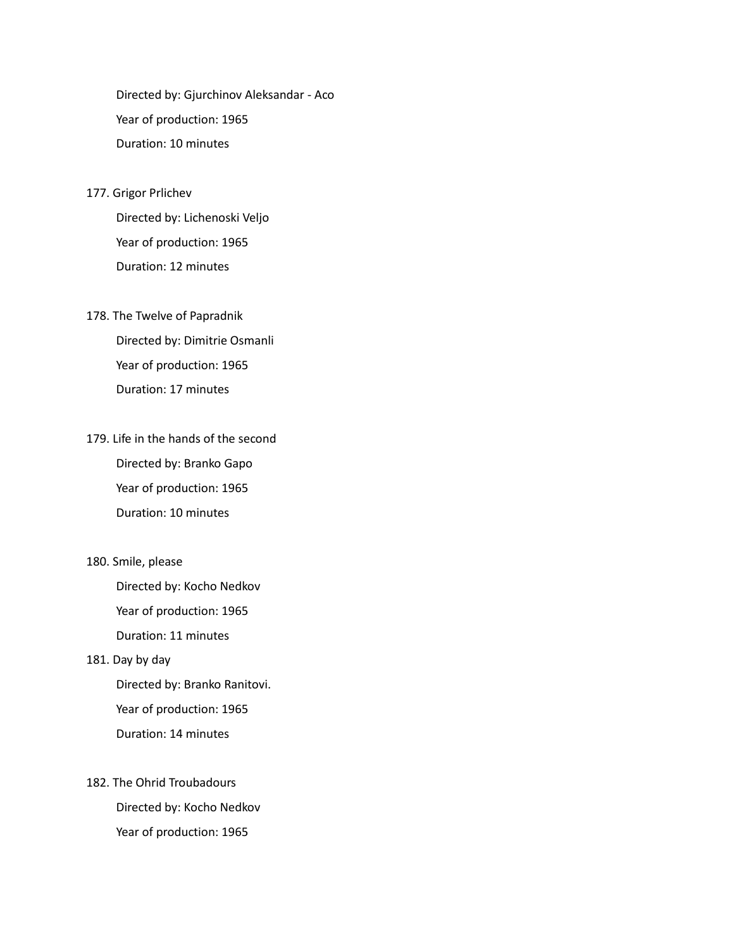Directed by: Gjurchinov Aleksandar - Aco Year of production: 1965 Duration: 10 minutes

177. Grigor Prlichev

Directed by: Lichenoski Veljo Year of production: 1965 Duration: 12 minutes

178. The Twelve of Papradnik

Directed by: Dimitrie Osmanli Year of production: 1965 Duration: 17 minutes

179. Life in the hands of the second Directed by: Branko Gapo Year of production: 1965 Duration: 10 minutes

180. Smile, please

Directed by: Kocho Nedkov Year of production: 1965 Duration: 11 minutes

#### 181. Day by day

Directed by: Branko Ranitovi. Year of production: 1965 Duration: 14 minutes

182. The Ohrid Troubadours Directed by: Kocho Nedkov Year of production: 1965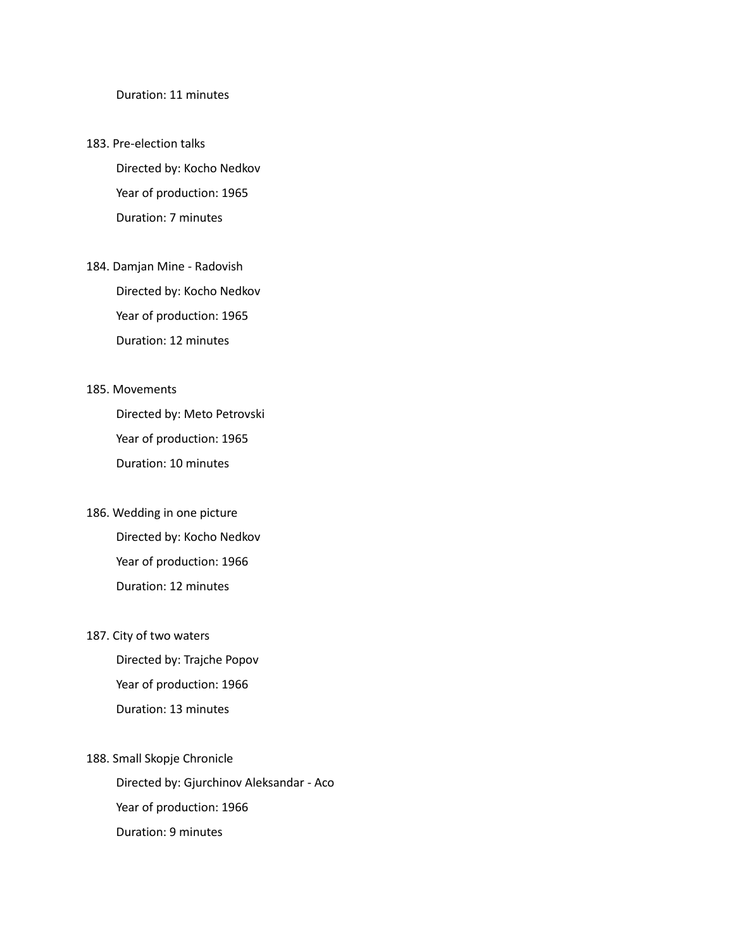Duration: 11 minutes

- 183. Pre-election talks Directed by: Kocho Nedkov Year of production: 1965 Duration: 7 minutes
- 184. Damjan Mine Radovish Directed by: Kocho Nedkov Year of production: 1965 Duration: 12 minutes

#### 185. Movements

Directed by: Meto Petrovski Year of production: 1965 Duration: 10 minutes

- 186. Wedding in one picture Directed by: Kocho Nedkov Year of production: 1966 Duration: 12 minutes
- 187. City of two waters

Directed by: Trajche Popov Year of production: 1966 Duration: 13 minutes

188. Small Skopje Chronicle Directed by: Gjurchinov Aleksandar - Aco Year of production: 1966 Duration: 9 minutes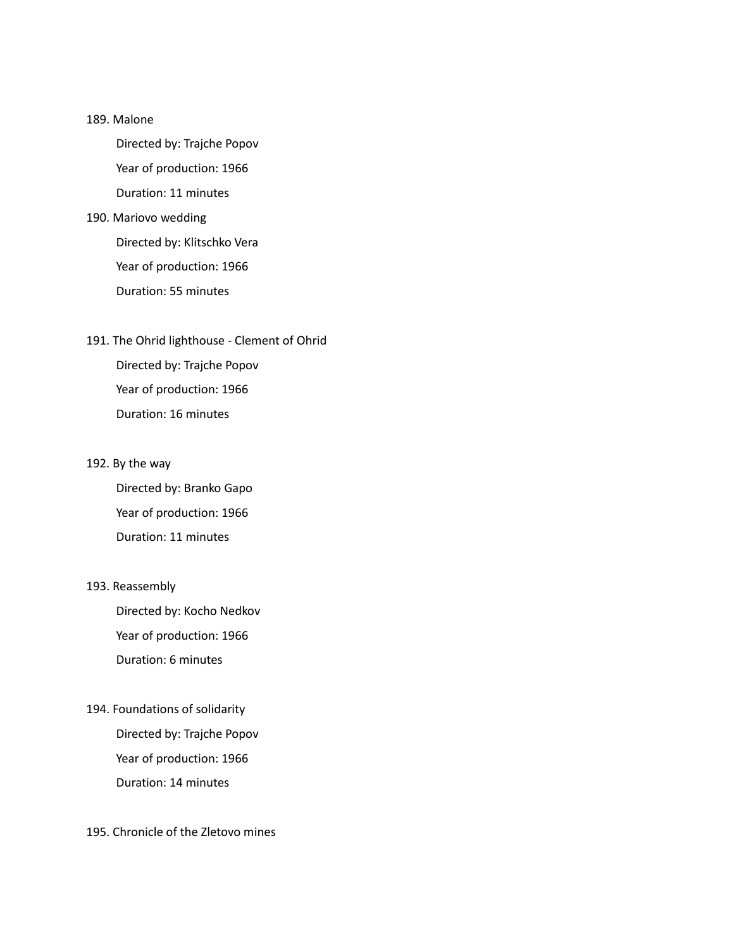#### 189. Malone

Directed by: Trajche Popov Year of production: 1966

Duration: 11 minutes

#### 190. Mariovo wedding

Directed by: Klitschko Vera Year of production: 1966 Duration: 55 minutes

### 191. The Ohrid lighthouse - Clement of Ohrid

Directed by: Trajche Popov Year of production: 1966 Duration: 16 minutes

#### 192. By the way

Directed by: Branko Gapo Year of production: 1966 Duration: 11 minutes

#### 193. Reassembly

Directed by: Kocho Nedkov Year of production: 1966 Duration: 6 minutes

### 194. Foundations of solidarity

Directed by: Trajche Popov Year of production: 1966 Duration: 14 minutes

#### 195. Chronicle of the Zletovo mines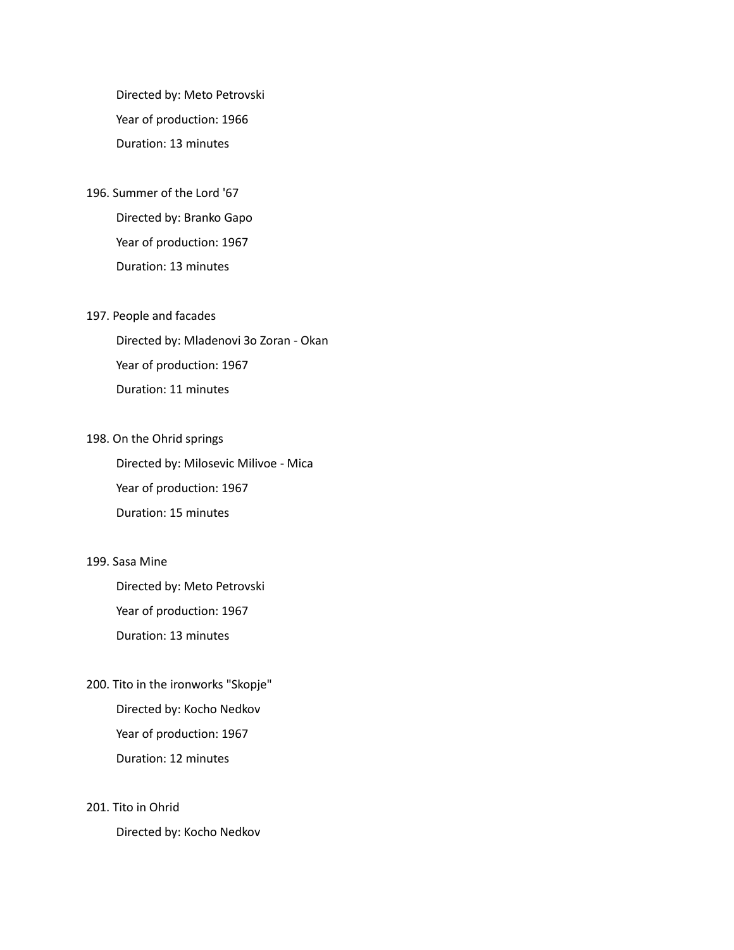Directed by: Meto Petrovski Year of production: 1966 Duration: 13 minutes

- 196. Summer of the Lord '67 Directed by: Branko Gapo Year of production: 1967 Duration: 13 minutes
- 197. People and facades

Directed by: Mladenovi Зо Zoran - Okan Year of production: 1967 Duration: 11 minutes

198. On the Ohrid springs

Directed by: Milosevic Milivoe - Mica Year of production: 1967 Duration: 15 minutes

#### 199. Sasa Mine

Directed by: Meto Petrovski Year of production: 1967 Duration: 13 minutes

200. Tito in the ironworks "Skopje" Directed by: Kocho Nedkov Year of production: 1967 Duration: 12 minutes

#### 201. Tito in Ohrid

Directed by: Kocho Nedkov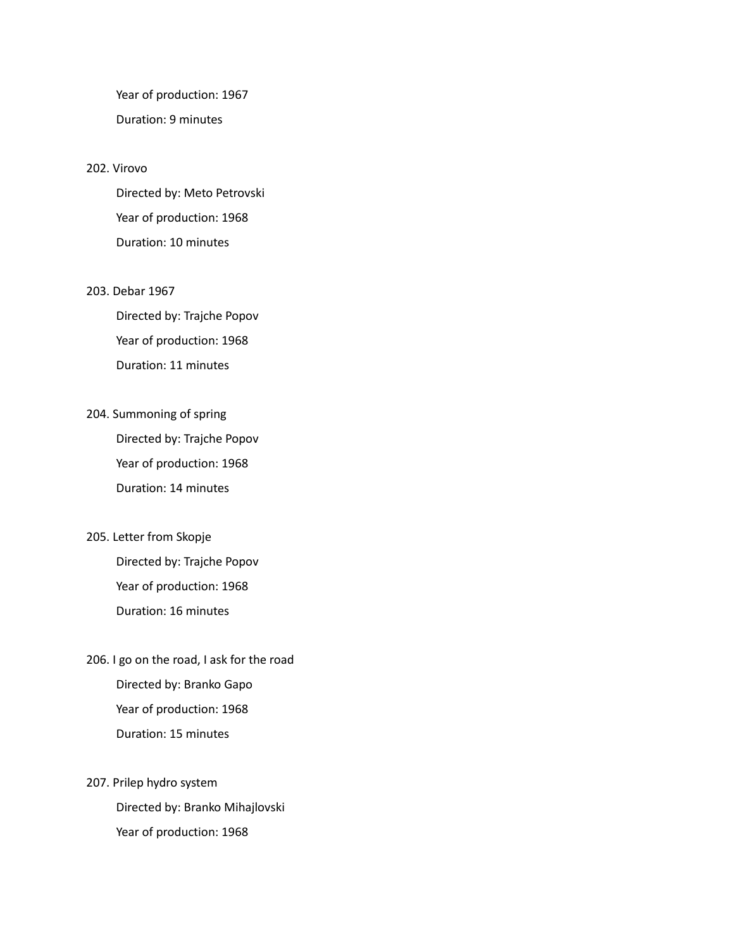Year of production: 1967 Duration: 9 minutes

#### 202. Virovo

Directed by: Meto Petrovski Year of production: 1968 Duration: 10 minutes

#### 203. Debar 1967

Directed by: Trajche Popov Year of production: 1968 Duration: 11 minutes

204. Summoning of spring

Directed by: Trajche Popov Year of production: 1968 Duration: 14 minutes

205. Letter from Skopje

Directed by: Trajche Popov Year of production: 1968 Duration: 16 minutes

- 206. I go on the road, I ask for the road Directed by: Branko Gapo Year of production: 1968 Duration: 15 minutes
- 207. Prilep hydro system Directed by: Branko Mihajlovski Year of production: 1968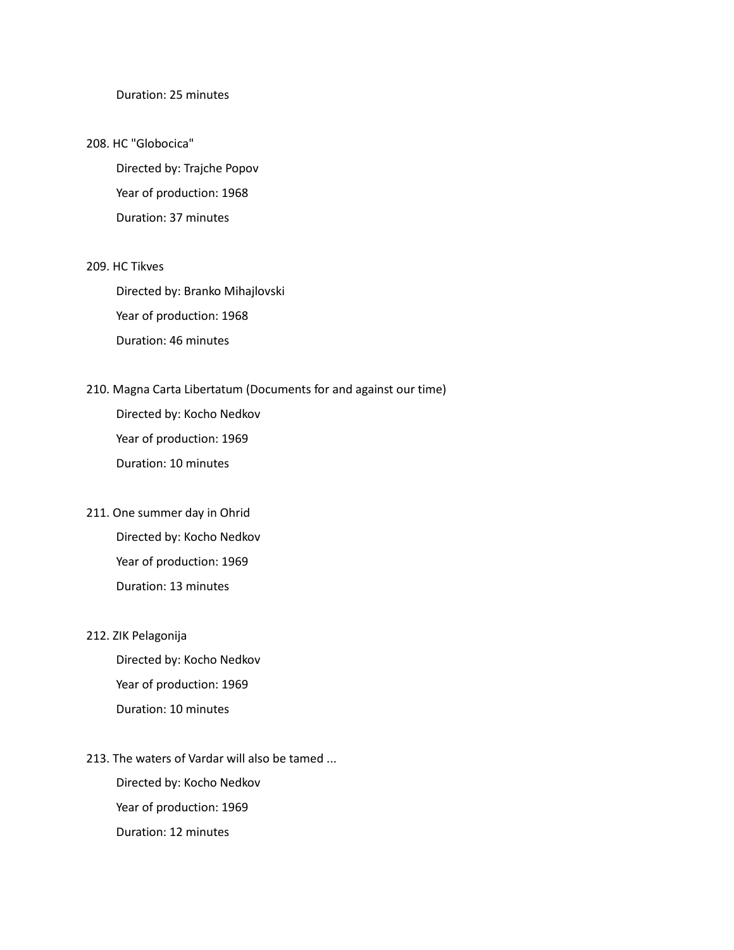#### Duration: 25 minutes

#### 208. HC "Globocica"

Directed by: Trajche Popov Year of production: 1968 Duration: 37 minutes

#### 209. HC Tikves

Directed by: Branko Mihajlovski Year of production: 1968 Duration: 46 minutes

#### 210. Magna Carta Libertatum (Documents for and against our time)

Directed by: Kocho Nedkov Year of production: 1969 Duration: 10 minutes

211. One summer day in Ohrid Directed by: Kocho Nedkov Year of production: 1969 Duration: 13 minutes

#### 212. ZIK Pelagonija

Directed by: Kocho Nedkov Year of production: 1969 Duration: 10 minutes

213. The waters of Vardar will also be tamed ... Directed by: Kocho Nedkov Year of production: 1969 Duration: 12 minutes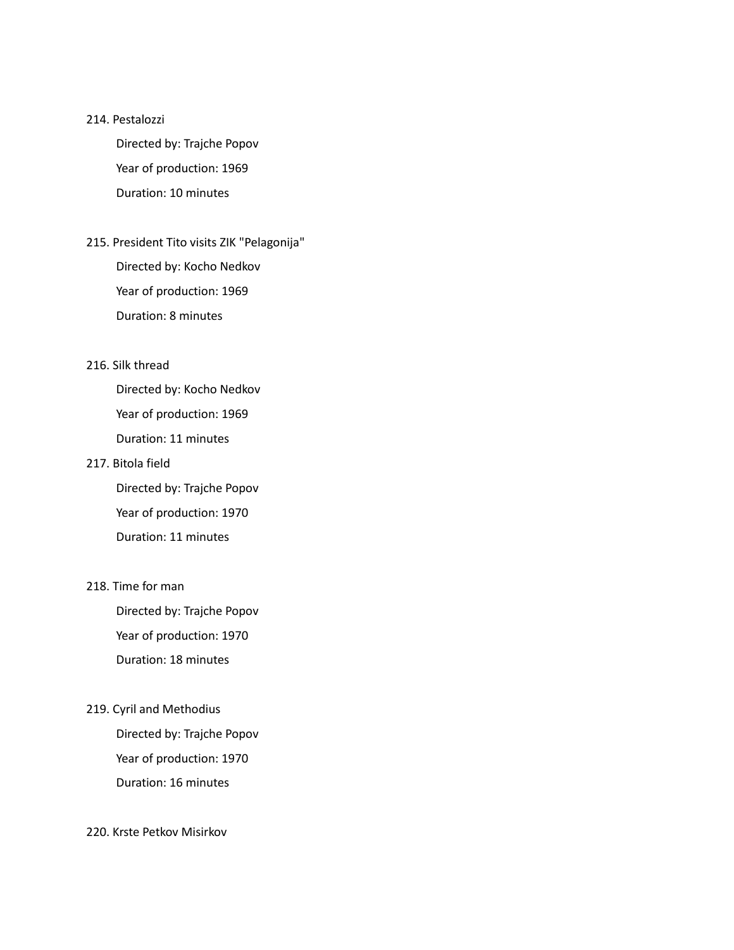#### 214. Pestalozzi

Directed by: Trajche Popov Year of production: 1969 Duration: 10 minutes

215. President Tito visits ZIK "Pelagonija" Directed by: Kocho Nedkov Year of production: 1969

Duration: 8 minutes

#### 216. Silk thread

Directed by: Kocho Nedkov Year of production: 1969 Duration: 11 minutes

#### 217. Bitola field

Directed by: Trajche Popov Year of production: 1970 Duration: 11 minutes

#### 218. Time for man

Directed by: Trajche Popov Year of production: 1970 Duration: 18 minutes

#### 219. Cyril and Methodius

Directed by: Trajche Popov Year of production: 1970 Duration: 16 minutes

#### 220. Krste Petkov Misirkov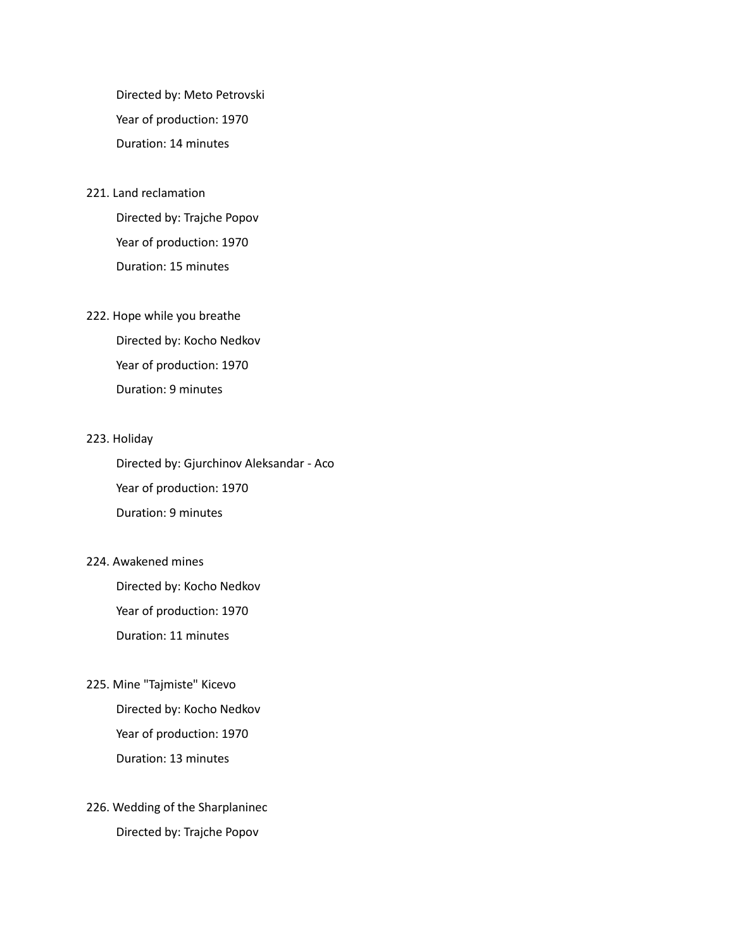Directed by: Meto Petrovski Year of production: 1970 Duration: 14 minutes

#### 221. Land reclamation

Directed by: Trajche Popov Year of production: 1970 Duration: 15 minutes

#### 222. Hope while you breathe

Directed by: Kocho Nedkov Year of production: 1970 Duration: 9 minutes

#### 223. Holiday

Directed by: Gjurchinov Aleksandar - Aco Year of production: 1970 Duration: 9 minutes

#### 224. Awakened mines

Directed by: Kocho Nedkov Year of production: 1970 Duration: 11 minutes

#### 225. Mine "Tajmiste" Kicevo

Directed by: Kocho Nedkov Year of production: 1970 Duration: 13 minutes

### 226. Wedding of the Sharplaninec Directed by: Trajche Popov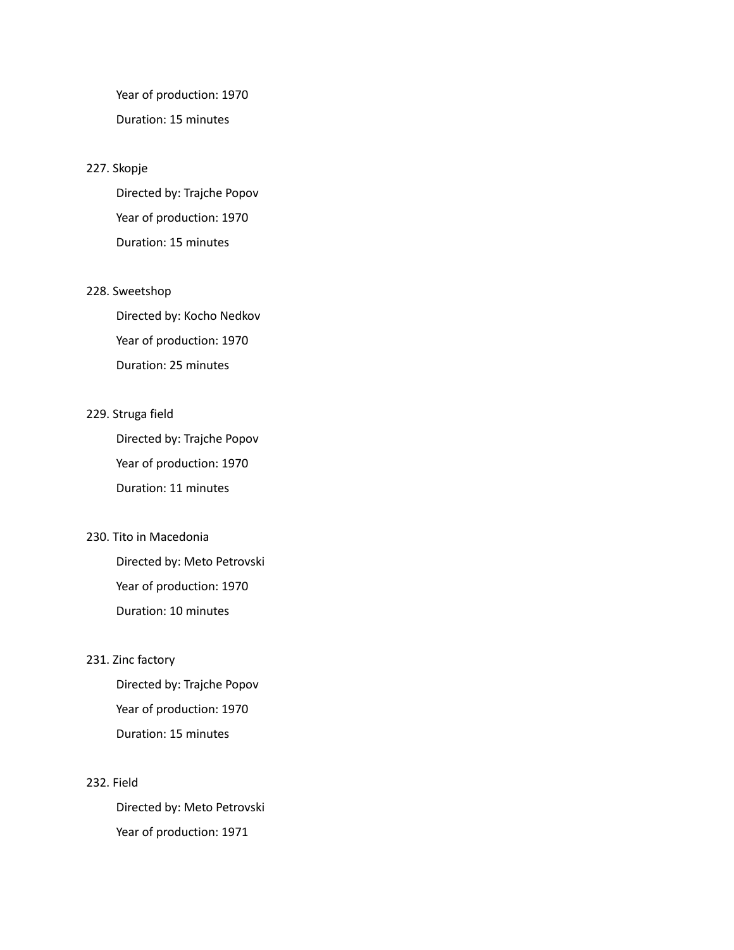Year of production: 1970 Duration: 15 minutes

#### 227. Skopje

Directed by: Trajche Popov Year of production: 1970 Duration: 15 minutes

#### 228. Sweetshop

Directed by: Kocho Nedkov Year of production: 1970 Duration: 25 minutes

#### 229. Struga field

Directed by: Trajche Popov Year of production: 1970 Duration: 11 minutes

#### 230. Tito in Macedonia

Directed by: Meto Petrovski Year of production: 1970 Duration: 10 minutes

#### 231. Zinc factory

Directed by: Trajche Popov Year of production: 1970 Duration: 15 minutes

#### 232. Field

Directed by: Meto Petrovski Year of production: 1971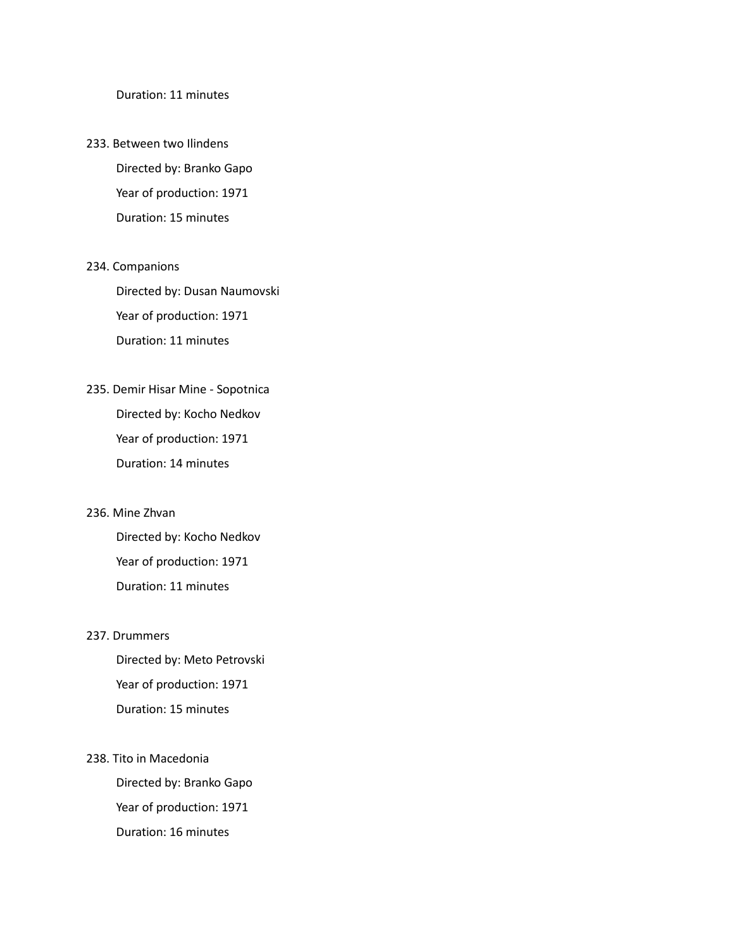Duration: 11 minutes

233. Between two Ilindens Directed by: Branko Gapo Year of production: 1971 Duration: 15 minutes

#### 234. Companions

Directed by: Dusan Naumovski Year of production: 1971 Duration: 11 minutes

235. Demir Hisar Mine - Sopotnica Directed by: Kocho Nedkov Year of production: 1971 Duration: 14 minutes

#### 236. Mine Zhvan

Directed by: Kocho Nedkov Year of production: 1971 Duration: 11 minutes

#### 237. Drummers

Directed by: Meto Petrovski Year of production: 1971 Duration: 15 minutes

238. Tito in Macedonia Directed by: Branko Gapo Year of production: 1971 Duration: 16 minutes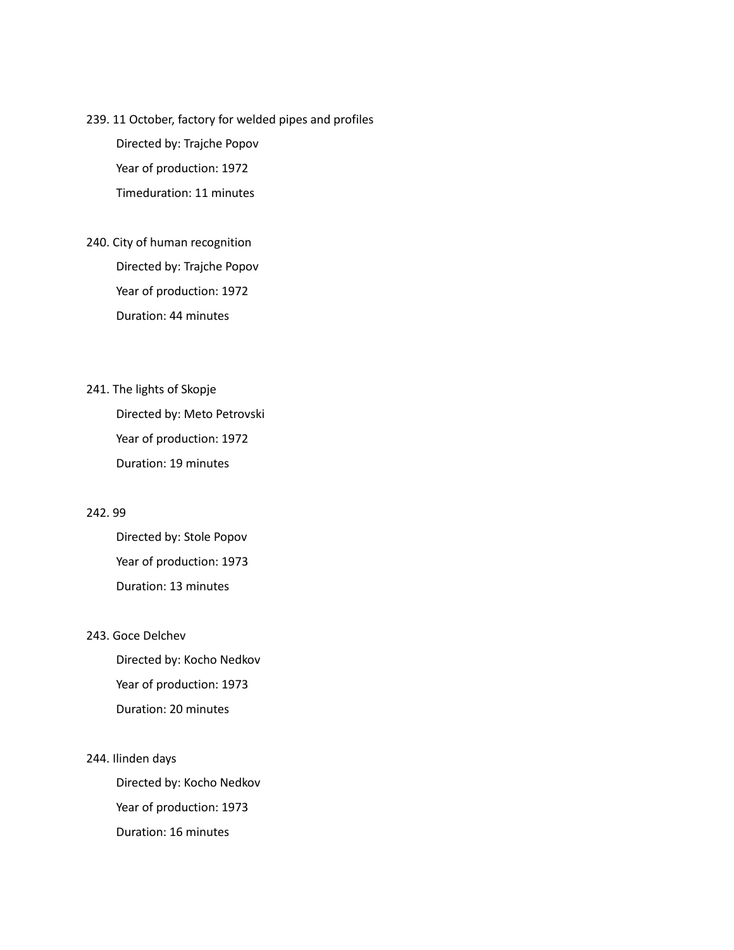#### 239. 11 October, factory for welded pipes and profiles

Directed by: Trajche Popov Year of production: 1972 Timeduration: 11 minutes

240. City of human recognition Directed by: Trajche Popov Year of production: 1972 Duration: 44 minutes

241. The lights of Skopje Directed by: Meto Petrovski Year of production: 1972 Duration: 19 minutes

#### 242. 99

Directed by: Stole Popov Year of production: 1973 Duration: 13 minutes

#### 243. Goce Delchev

Directed by: Kocho Nedkov Year of production: 1973 Duration: 20 minutes

244. Ilinden days

Directed by: Kocho Nedkov Year of production: 1973 Duration: 16 minutes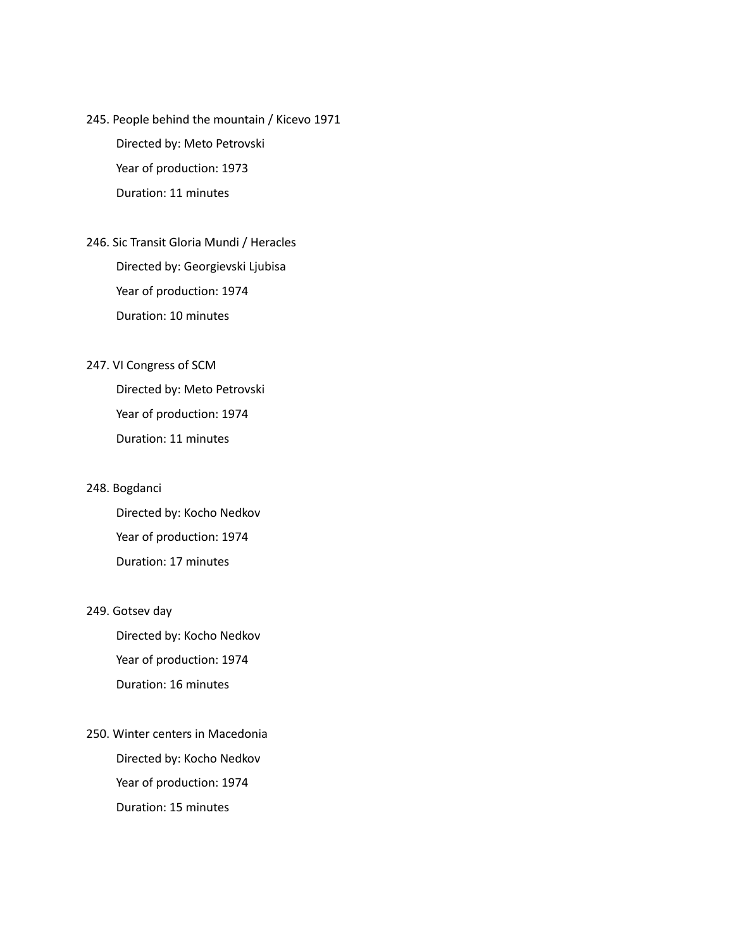245. People behind the mountain / Kicevo 1971 Directed by: Meto Petrovski Year of production: 1973

Duration: 11 minutes

246. Sic Transit Gloria Mundi / Heracles Directed by: Georgievski Ljubisa Year of production: 1974 Duration: 10 minutes

#### 247. VI Congress of SCM

Directed by: Meto Petrovski Year of production: 1974 Duration: 11 minutes

#### 248. Bogdanci

Directed by: Kocho Nedkov Year of production: 1974 Duration: 17 minutes

#### 249. Gotsev day

Directed by: Kocho Nedkov Year of production: 1974 Duration: 16 minutes

250. Winter centers in Macedonia Directed by: Kocho Nedkov Year of production: 1974 Duration: 15 minutes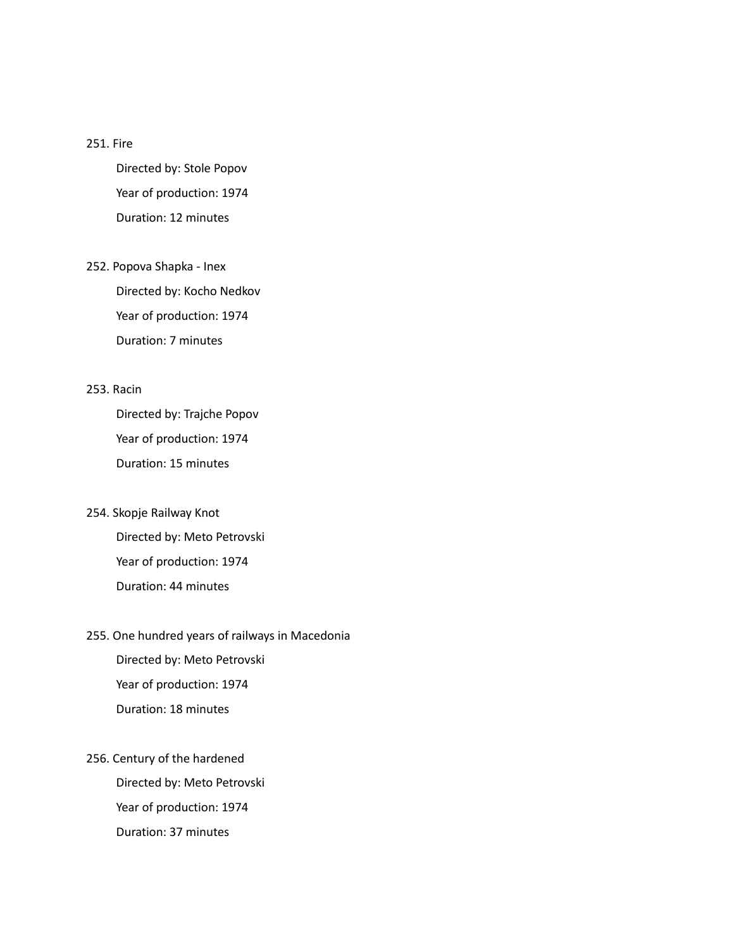#### 251. Fire

Directed by: Stole Popov Year of production: 1974 Duration: 12 minutes

252. Popova Shapka - Inex Directed by: Kocho Nedkov Year of production: 1974 Duration: 7 minutes

#### 253. Racin

Directed by: Trajche Popov Year of production: 1974 Duration: 15 minutes

- 254. Skopje Railway Knot Directed by: Meto Petrovski Year of production: 1974 Duration: 44 minutes
- 255. One hundred years of railways in Macedonia Directed by: Meto Petrovski

Year of production: 1974 Duration: 18 minutes

256. Century of the hardened Directed by: Meto Petrovski Year of production: 1974 Duration: 37 minutes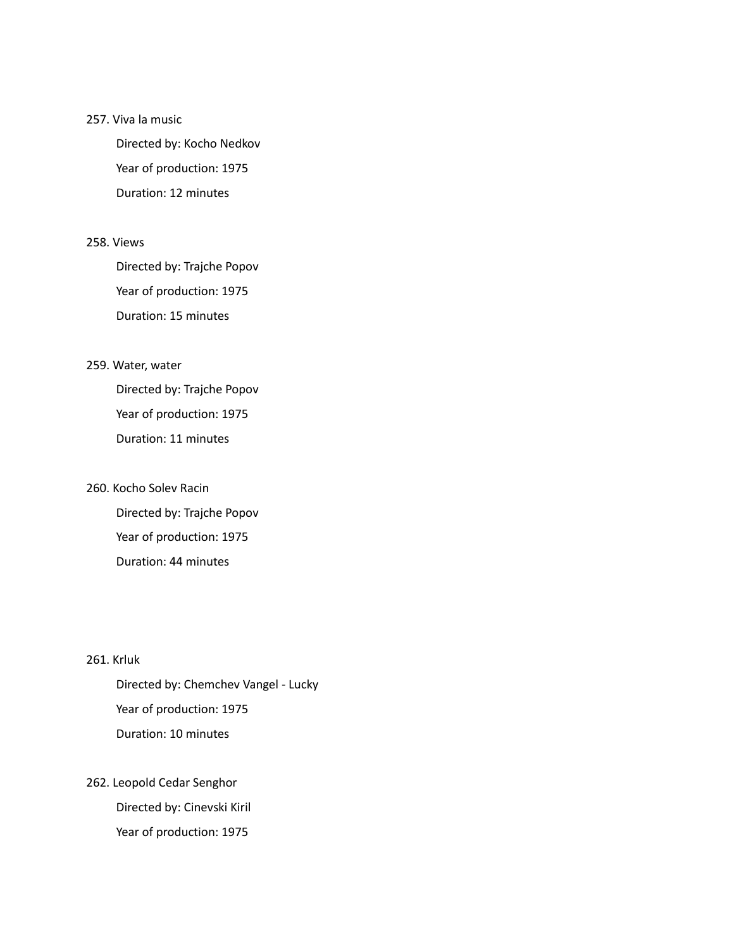#### 257. Viva la music

Directed by: Kocho Nedkov Year of production: 1975 Duration: 12 minutes

#### 258. Views

Directed by: Trajche Popov Year of production: 1975 Duration: 15 minutes

#### 259. Water, water

Directed by: Trajche Popov Year of production: 1975 Duration: 11 minutes

#### 260. Kocho Solev Racin

Directed by: Trajche Popov Year of production: 1975 Duration: 44 minutes

#### 261. Krluk

Directed by: Chemchev Vangel - Lucky Year of production: 1975 Duration: 10 minutes

## 262. Leopold Cedar Senghor Directed by: Cinevski Kiril

Year of production: 1975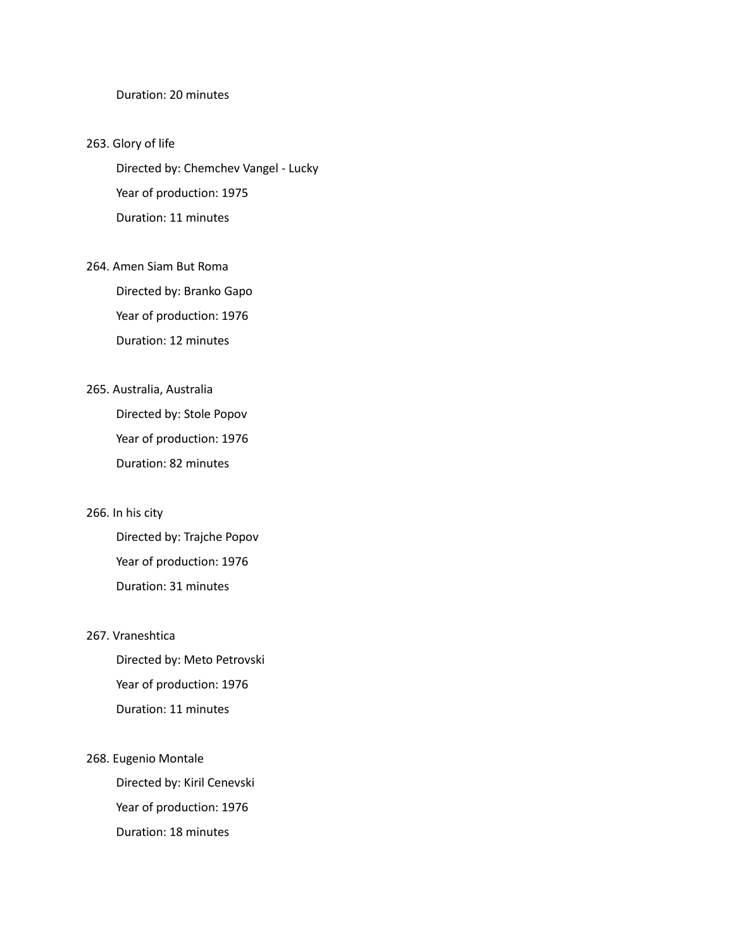#### Duration: 20 minutes

263. Glory of life Directed by: Chemchev Vangel - Lucky Year of production: 1975 Duration: 11 minutes

### 264. Amen Siam But Roma Directed by: Branko Gapo Year of production: 1976

Duration: 12 minutes

#### 265. Australia, Australia

Directed by: Stole Popov Year of production: 1976 Duration: 82 minutes

#### 266. In his city

Directed by: Trajche Popov Year of production: 1976 Duration: 31 minutes

#### 267. Vraneshtica

Directed by: Meto Petrovski Year of production: 1976 Duration: 11 minutes

268. Eugenio Montale

Directed by: Kiril Cenevski Year of production: 1976 Duration: 18 minutes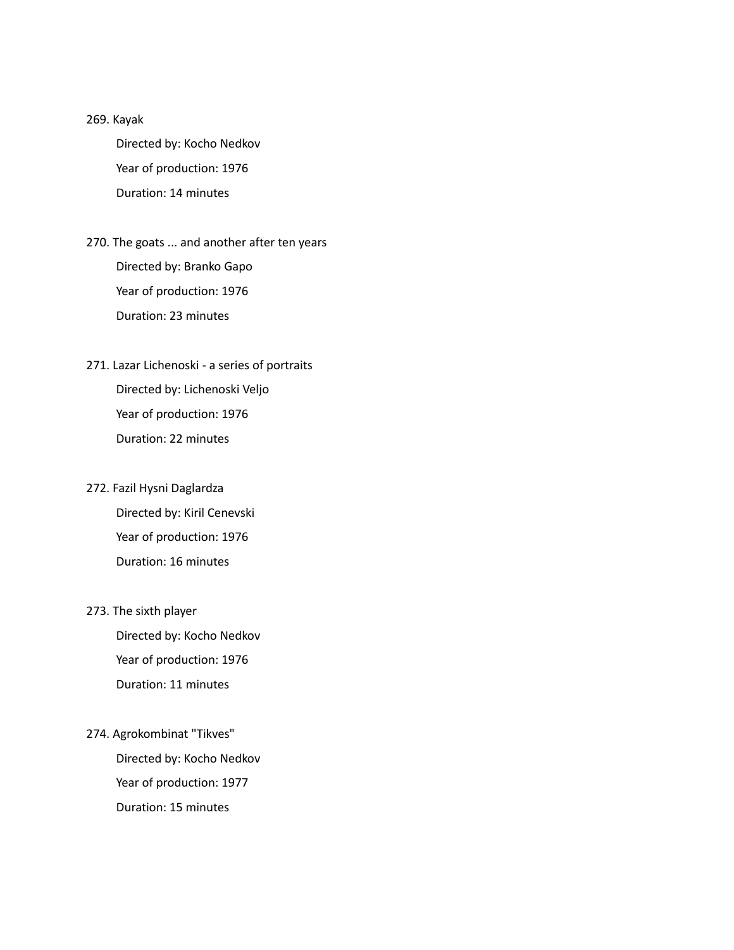269. Kayak

Directed by: Kocho Nedkov Year of production: 1976 Duration: 14 minutes

- 270. The goats ... and another after ten years Directed by: Branko Gapo Year of production: 1976 Duration: 23 minutes
- 271. Lazar Lichenoski a series of portraits Directed by: Lichenoski Veljo Year of production: 1976 Duration: 22 minutes

### 272. Fazil Hysni Daglardza

Directed by: Kiril Cenevski Year of production: 1976 Duration: 16 minutes

#### 273. The sixth player

Directed by: Kocho Nedkov Year of production: 1976 Duration: 11 minutes

#### 274. Agrokombinat "Tikves"

Directed by: Kocho Nedkov Year of production: 1977 Duration: 15 minutes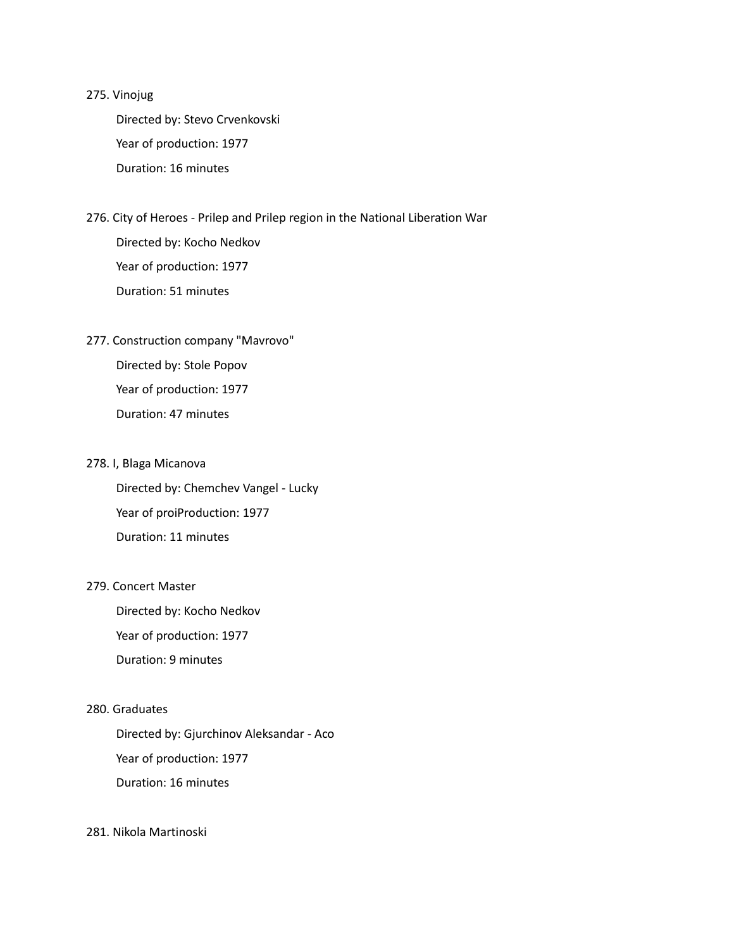#### 275. Vinojug

Directed by: Stevo Crvenkovski Year of production: 1977 Duration: 16 minutes

- 276. City of Heroes Prilep and Prilep region in the National Liberation War Directed by: Kocho Nedkov Year of production: 1977 Duration: 51 minutes
- 277. Construction company "Mavrovo"

Directed by: Stole Popov Year of production: 1977 Duration: 47 minutes

#### 278. I, Blaga Micanova

Directed by: Chemchev Vangel - Lucky Year of proiProduction: 1977 Duration: 11 minutes

#### 279. Concert Master

Directed by: Kocho Nedkov Year of production: 1977 Duration: 9 minutes

#### 280. Graduates

Directed by: Gjurchinov Aleksandar - Aco Year of production: 1977 Duration: 16 minutes

#### 281. Nikola Martinoski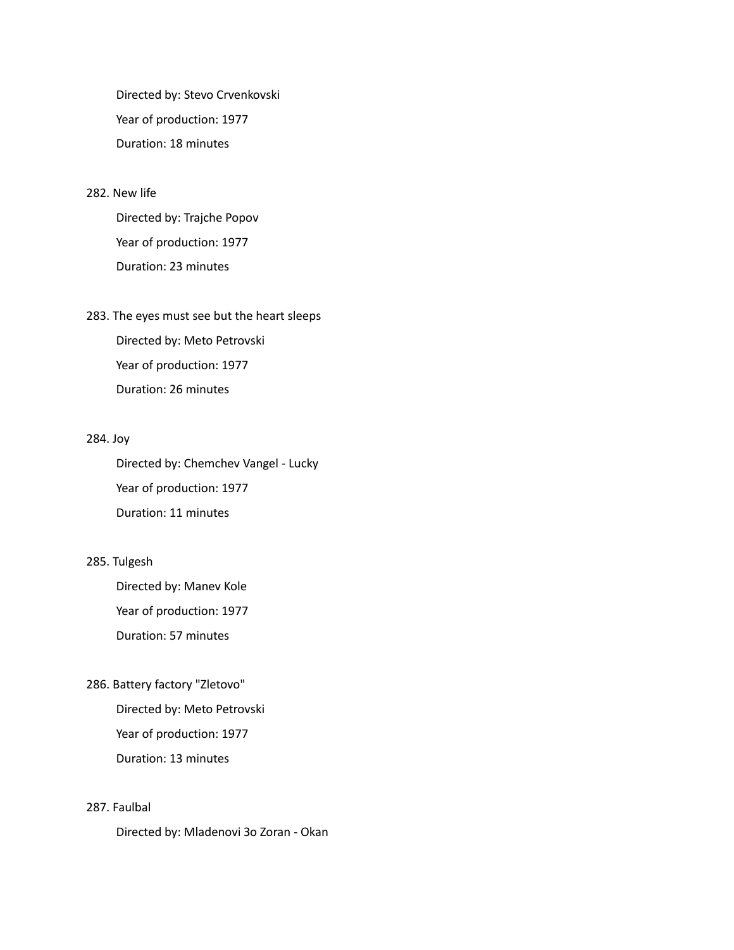Directed by: Stevo Crvenkovski Year of production: 1977 Duration: 18 minutes

#### 282. New life

Directed by: Trajche Popov Year of production: 1977 Duration: 23 minutes

### 283. The eyes must see but the heart sleeps

Directed by: Meto Petrovski Year of production: 1977 Duration: 26 minutes

#### 284. Joy

Directed by: Chemchev Vangel - Lucky Year of production: 1977 Duration: 11 minutes

#### 285. Tulgesh

Directed by: Manev Kole Year of production: 1977 Duration: 57 minutes

#### 286. Battery factory "Zletovo"

Directed by: Meto Petrovski Year of production: 1977 Duration: 13 minutes

#### 287. Faulbal

Directed by: Mladenovi Зо Zoran - Okan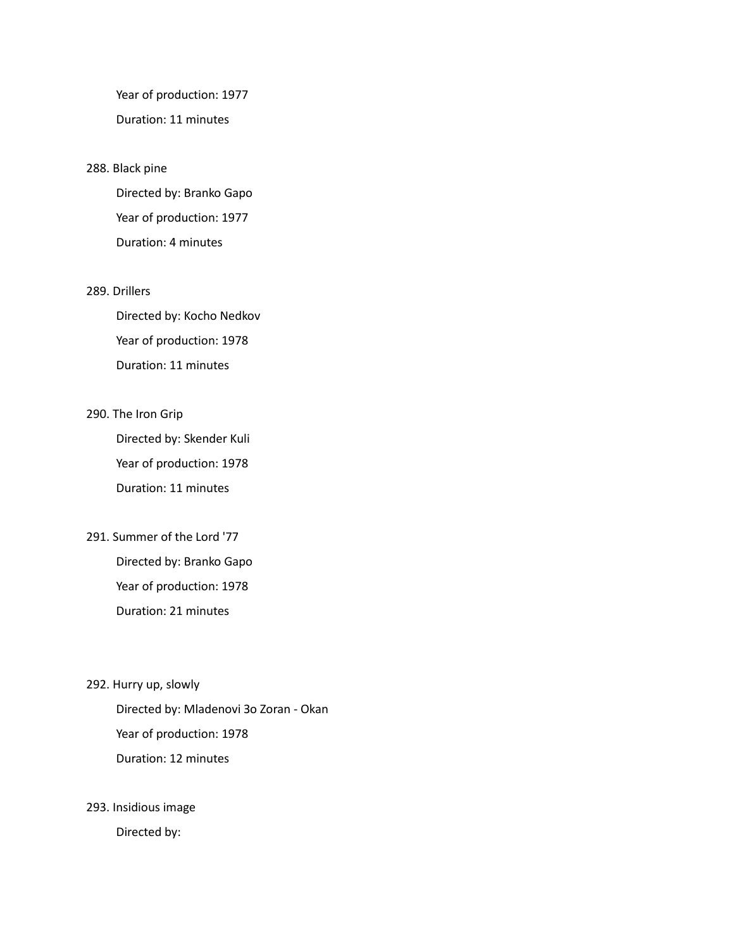Year of production: 1977 Duration: 11 minutes

#### 288. Black pine

Directed by: Branko Gapo Year of production: 1977 Duration: 4 minutes

#### 289. Drillers

Directed by: Kocho Nedkov Year of production: 1978 Duration: 11 minutes

#### 290. The Iron Grip

Directed by: Skender Kuli Year of production: 1978 Duration: 11 minutes

291. Summer of the Lord '77

Directed by: Branko Gapo Year of production: 1978 Duration: 21 minutes

292. Hurry up, slowly

Directed by: Mladenovi Зо Zoran - Okan Year of production: 1978 Duration: 12 minutes

#### 293. Insidious image

Directed by: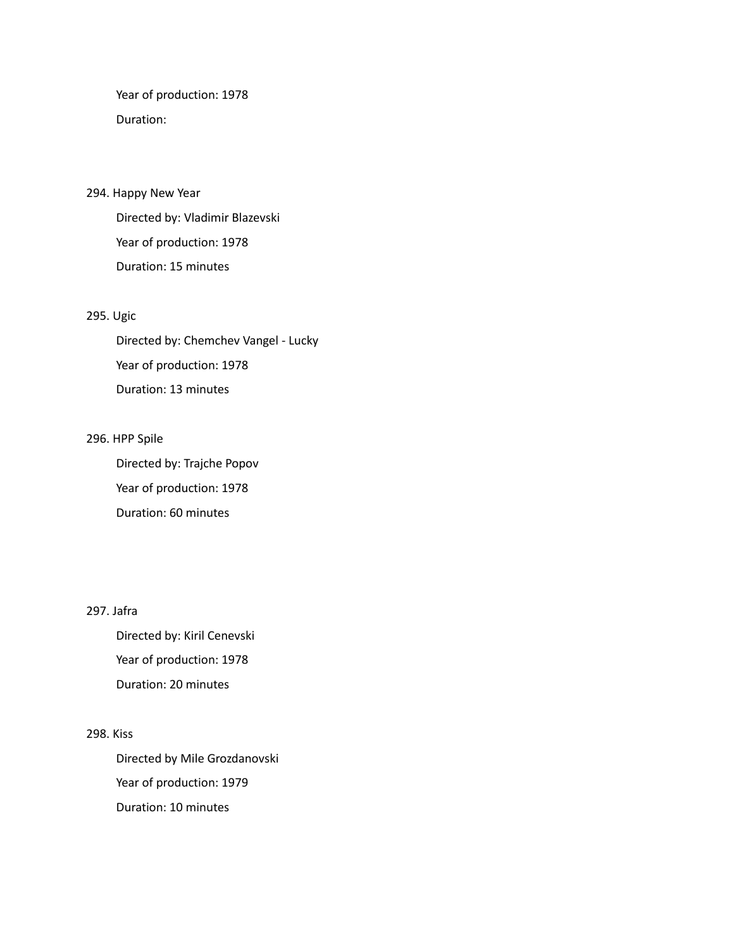Year of production: 1978 Duration:

#### 294. Happy New Year

Directed by: Vladimir Blazevski Year of production: 1978 Duration: 15 minutes

#### 295. Ugic

Directed by: Chemchev Vangel - Lucky Year of production: 1978 Duration: 13 minutes

#### 296. HPP Spile

Directed by: Trajche Popov Year of production: 1978 Duration: 60 minutes

#### 297. Jafra

Directed by: Kiril Cenevski Year of production: 1978 Duration: 20 minutes

#### 298. Kiss

Directed by Mile Grozdanovski Year of production: 1979 Duration: 10 minutes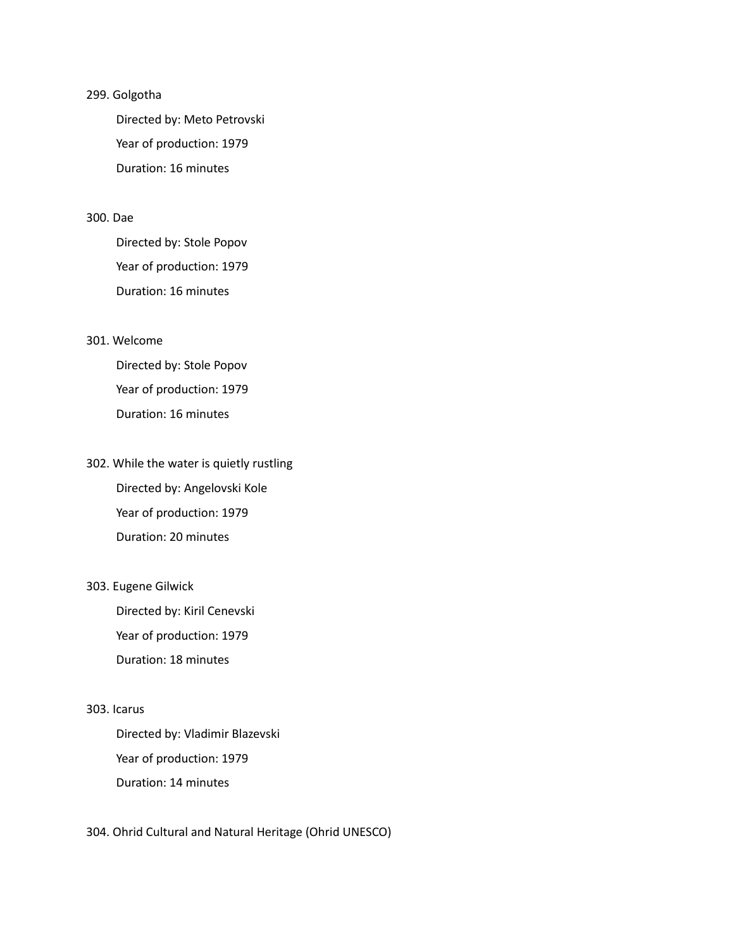#### 299. Golgotha

Directed by: Meto Petrovski Year of production: 1979 Duration: 16 minutes

#### 300. Dae

Directed by: Stole Popov Year of production: 1979 Duration: 16 minutes

#### 301. Welcome

Directed by: Stole Popov Year of production: 1979 Duration: 16 minutes

#### 302. While the water is quietly rustling

Directed by: Angelovski Kole Year of production: 1979 Duration: 20 minutes

#### 303. Eugene Gilwick

Directed by: Kiril Cenevski Year of production: 1979 Duration: 18 minutes

#### 303. Icarus

Directed by: Vladimir Blazevski Year of production: 1979 Duration: 14 minutes

#### 304. Ohrid Cultural and Natural Heritage (Ohrid UNESCO)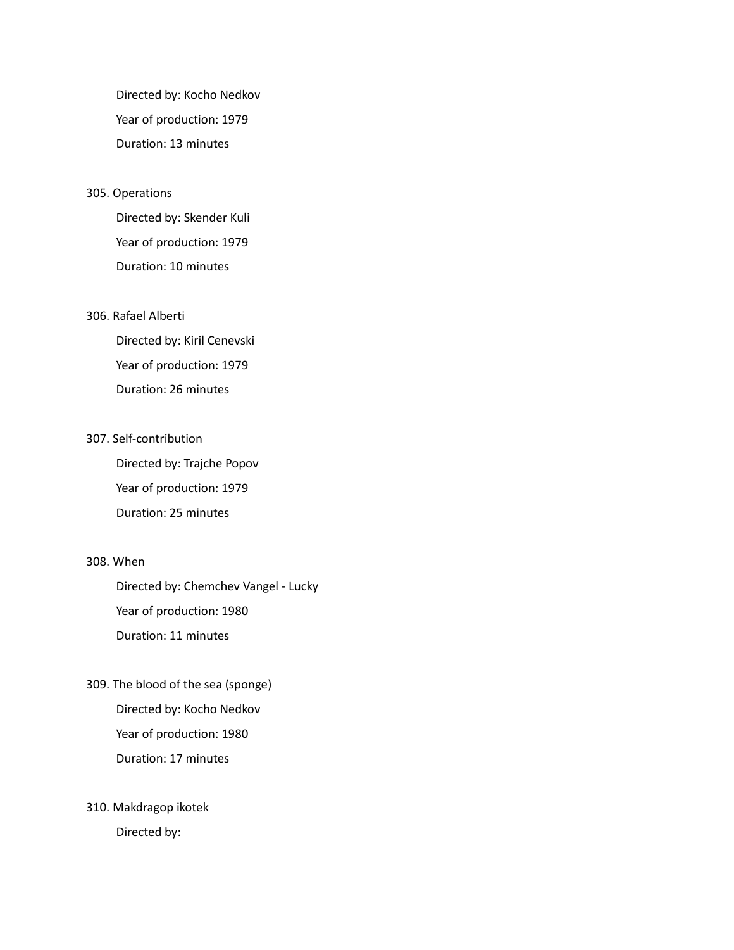Directed by: Kocho Nedkov Year of production: 1979 Duration: 13 minutes

#### 305. Operations

Directed by: Skender Kuli Year of production: 1979 Duration: 10 minutes

#### 306. Rafael Alberti

Directed by: Kiril Cenevski Year of production: 1979 Duration: 26 minutes

#### 307. Self-contribution

Directed by: Trajche Popov Year of production: 1979 Duration: 25 minutes

#### 308. When

Directed by: Chemchev Vangel - Lucky Year of production: 1980 Duration: 11 minutes

309. The blood of the sea (sponge) Directed by: Kocho Nedkov Year of production: 1980 Duration: 17 minutes

### 310. Makdragop ikotek

Directed by: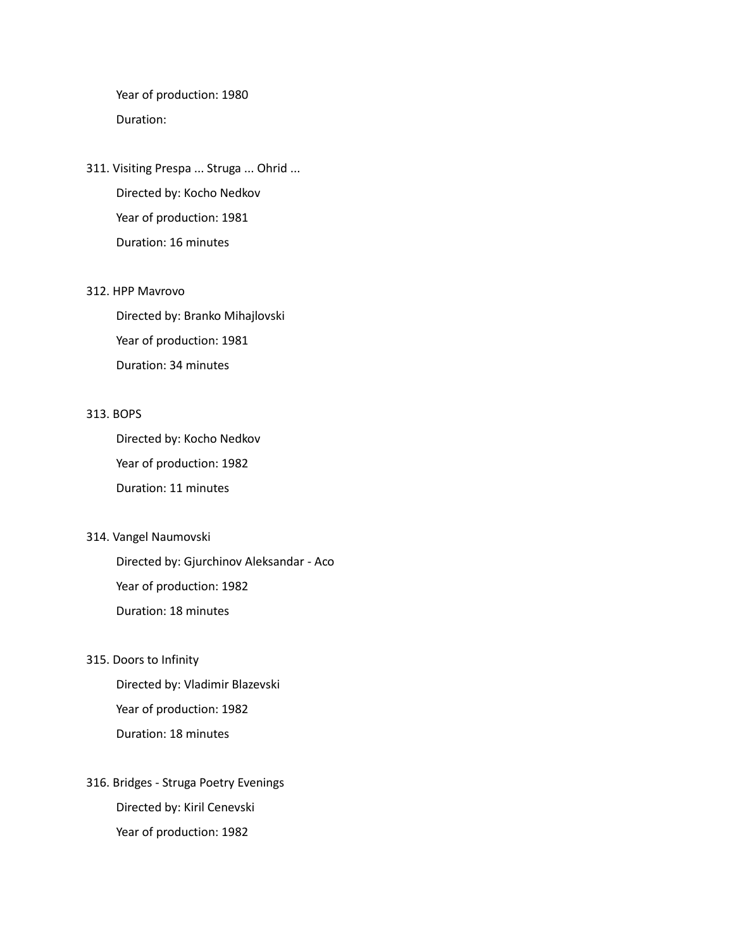Year of production: 1980 Duration:

311. Visiting Prespa ... Struga ... Ohrid ... Directed by: Kocho Nedkov Year of production: 1981 Duration: 16 minutes

#### 312. HPP Mavrovo

Directed by: Branko Mihajlovski Year of production: 1981 Duration: 34 minutes

#### 313. BOPS

Directed by: Kocho Nedkov Year of production: 1982 Duration: 11 minutes

314. Vangel Naumovski

Directed by: Gjurchinov Aleksandar - Aco Year of production: 1982 Duration: 18 minutes

315. Doors to Infinity

Directed by: Vladimir Blazevski Year of production: 1982 Duration: 18 minutes

316. Bridges - Struga Poetry Evenings Directed by: Kiril Cenevski Year of production: 1982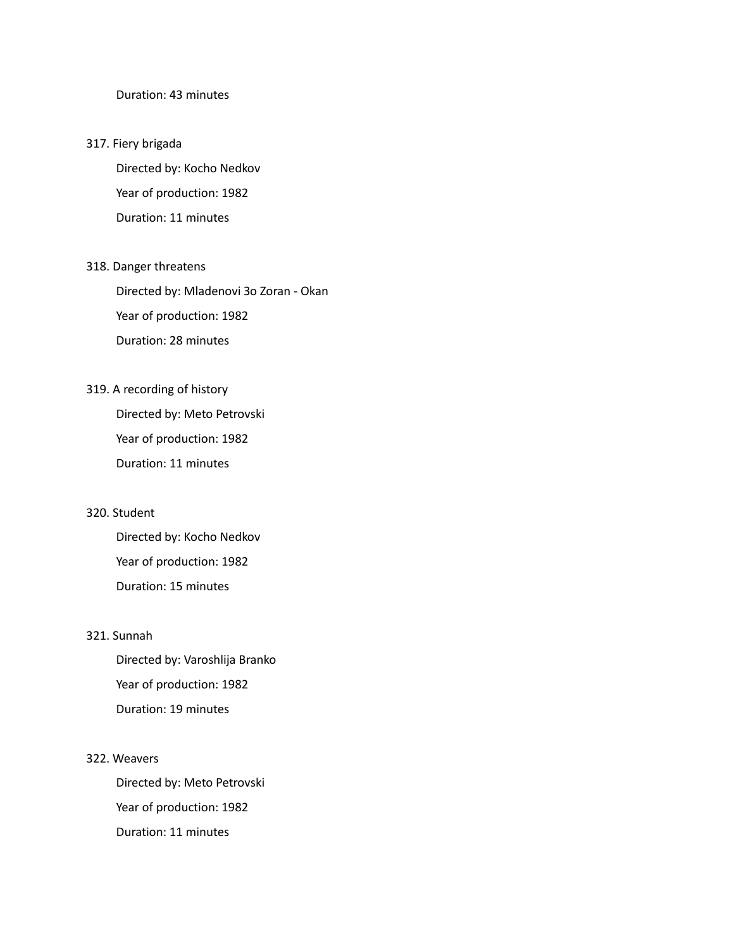#### Duration: 43 minutes

#### 317. Fiery brigada

Directed by: Kocho Nedkov Year of production: 1982 Duration: 11 minutes

#### 318. Danger threatens

Directed by: Mladenovi Зо Zoran - Okan Year of production: 1982 Duration: 28 minutes

#### 319. A recording of history

Directed by: Meto Petrovski Year of production: 1982 Duration: 11 minutes

#### 320. Student

Directed by: Kocho Nedkov Year of production: 1982 Duration: 15 minutes

#### 321. Sunnah

Directed by: Varoshlija Branko Year of production: 1982 Duration: 19 minutes

#### 322. Weavers

Directed by: Meto Petrovski Year of production: 1982 Duration: 11 minutes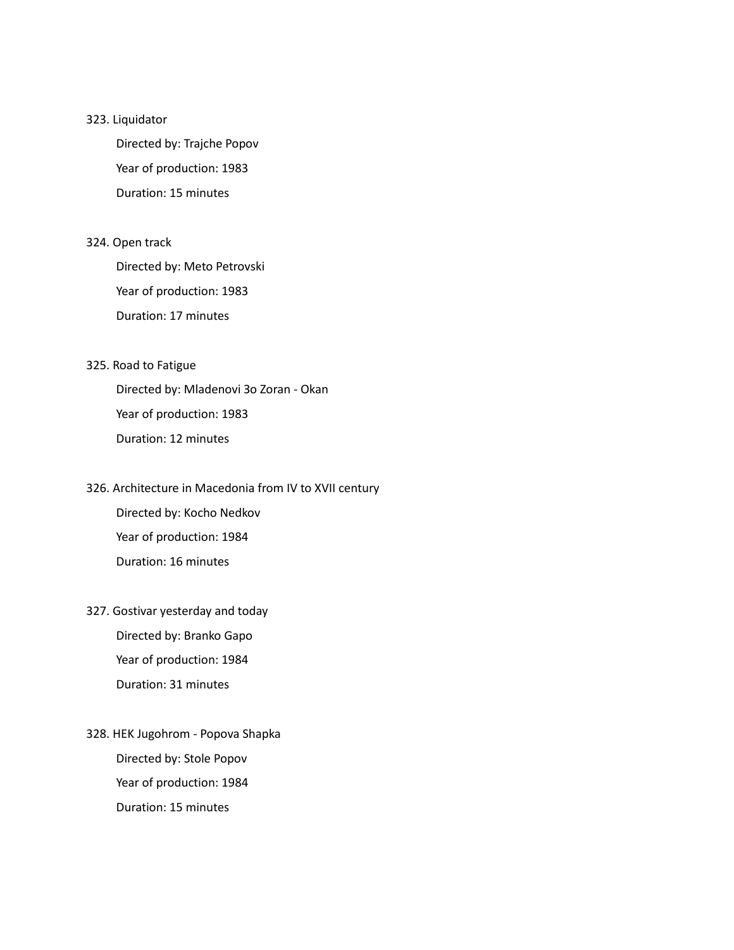#### 323. Liquidator

Directed by: Trajche Popov Year of production: 1983 Duration: 15 minutes

#### 324. Open track

Directed by: Meto Petrovski Year of production: 1983 Duration: 17 minutes

#### 325. Road to Fatigue

Directed by: Mladenovi Зо Zoran - Okan Year of production: 1983 Duration: 12 minutes

## 326. Architecture in Macedonia from IV to XVII century Directed by: Kocho Nedkov

Year of production: 1984 Duration: 16 minutes

## 327. Gostivar yesterday and today Directed by: Branko Gapo Year of production: 1984 Duration: 31 minutes

328. HEK Jugohrom - Popova Shapka Directed by: Stole Popov Year of production: 1984 Duration: 15 minutes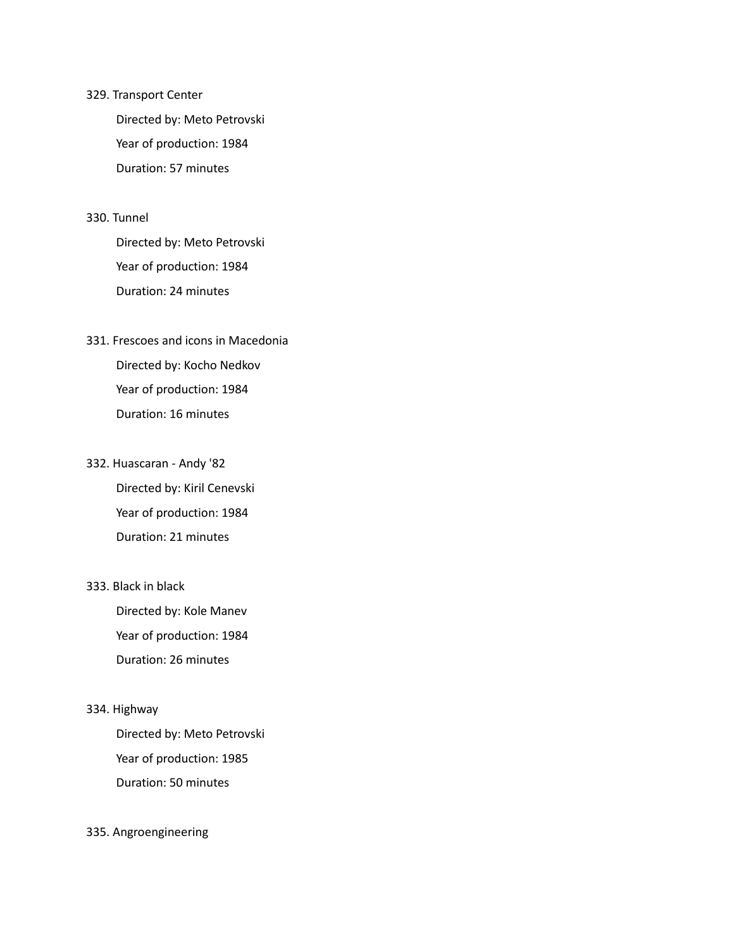#### 329. Transport Center

Directed by: Meto Petrovski Year of production: 1984 Duration: 57 minutes

#### 330. Tunnel

Directed by: Meto Petrovski Year of production: 1984 Duration: 24 minutes

## 331. Frescoes and icons in Macedonia Directed by: Kocho Nedkov Year of production: 1984 Duration: 16 minutes

## 332. Huascaran - Andy '82 Directed by: Kiril Cenevski Year of production: 1984 Duration: 21 minutes

#### 333. Black in black

Directed by: Kole Manev Year of production: 1984 Duration: 26 minutes

#### 334. Highway

Directed by: Meto Petrovski Year of production: 1985 Duration: 50 minutes

#### 335. Angroengineering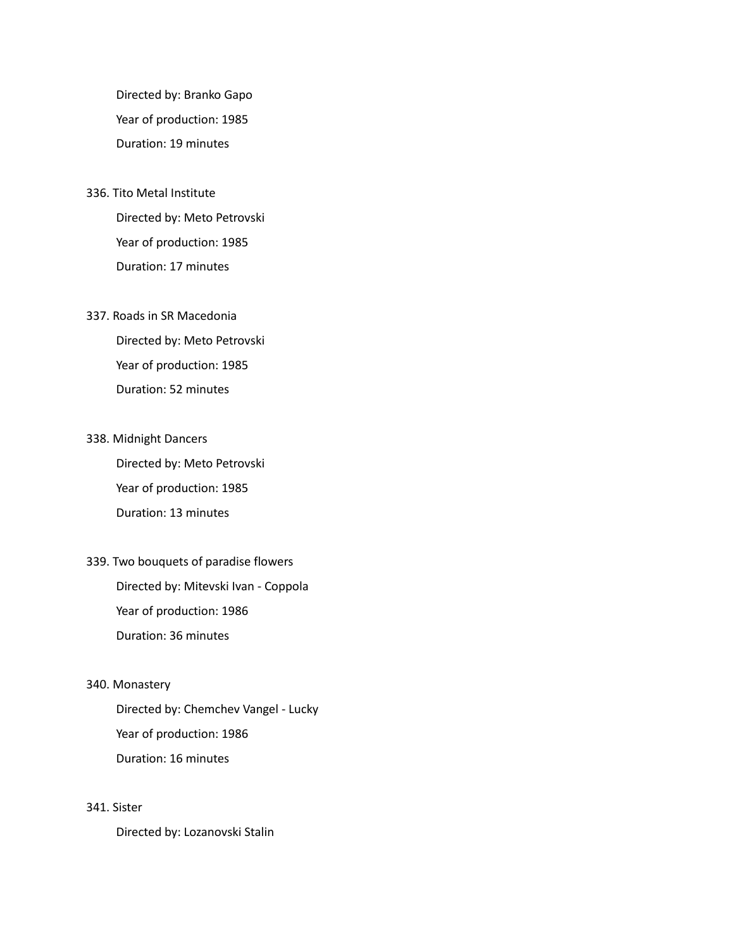Directed by: Branko Gapo Year of production: 1985 Duration: 19 minutes

336. Tito Metal Institute Directed by: Meto Petrovski Year of production: 1985 Duration: 17 minutes

#### 337. Roads in SR Macedonia

Directed by: Meto Petrovski Year of production: 1985 Duration: 52 minutes

338. Midnight Dancers

Directed by: Meto Petrovski Year of production: 1985 Duration: 13 minutes

339. Two bouquets of paradise flowers Directed by: Mitevski Ivan - Coppola Year of production: 1986 Duration: 36 minutes

#### 340. Monastery

Directed by: Chemchev Vangel - Lucky Year of production: 1986 Duration: 16 minutes

#### 341. Sister

Directed by: Lozanovski Stalin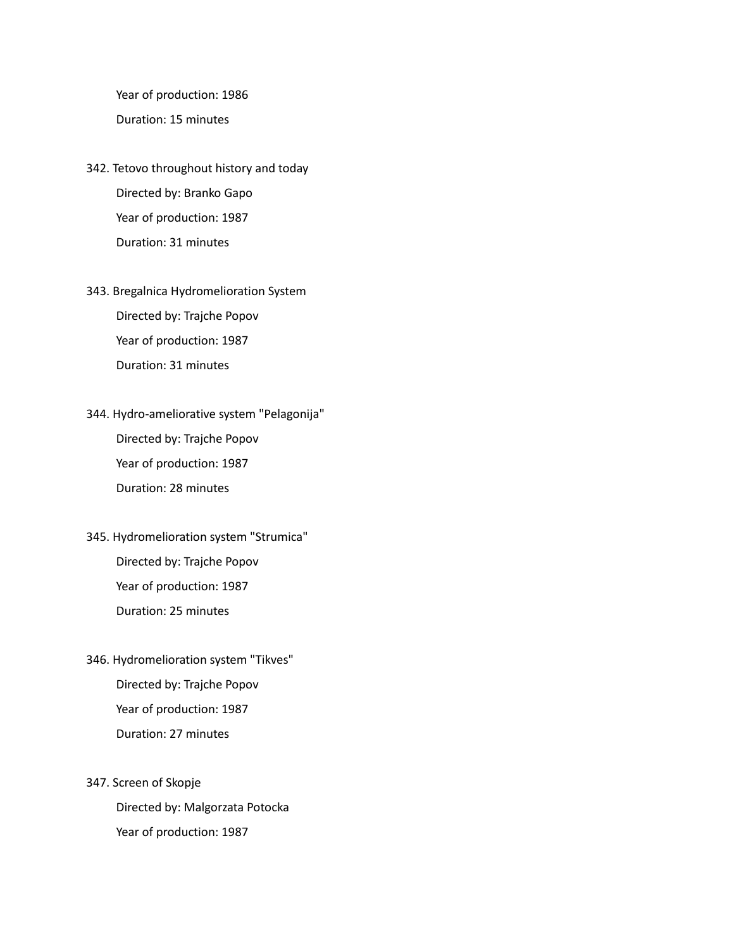Year of production: 1986 Duration: 15 minutes

- 342. Tetovo throughout history and today Directed by: Branko Gapo Year of production: 1987 Duration: 31 minutes
- 343. Bregalnica Hydromelioration System Directed by: Trajche Popov Year of production: 1987 Duration: 31 minutes
- 344. Hydro-ameliorative system "Pelagonija" Directed by: Trajche Popov Year of production: 1987 Duration: 28 minutes
- 345. Hydromelioration system "Strumica" Directed by: Trajche Popov Year of production: 1987 Duration: 25 minutes
- 346. Hydromelioration system "Tikves" Directed by: Trajche Popov Year of production: 1987 Duration: 27 minutes
- 347. Screen of Skopje Directed by: Malgorzata Potocka Year of production: 1987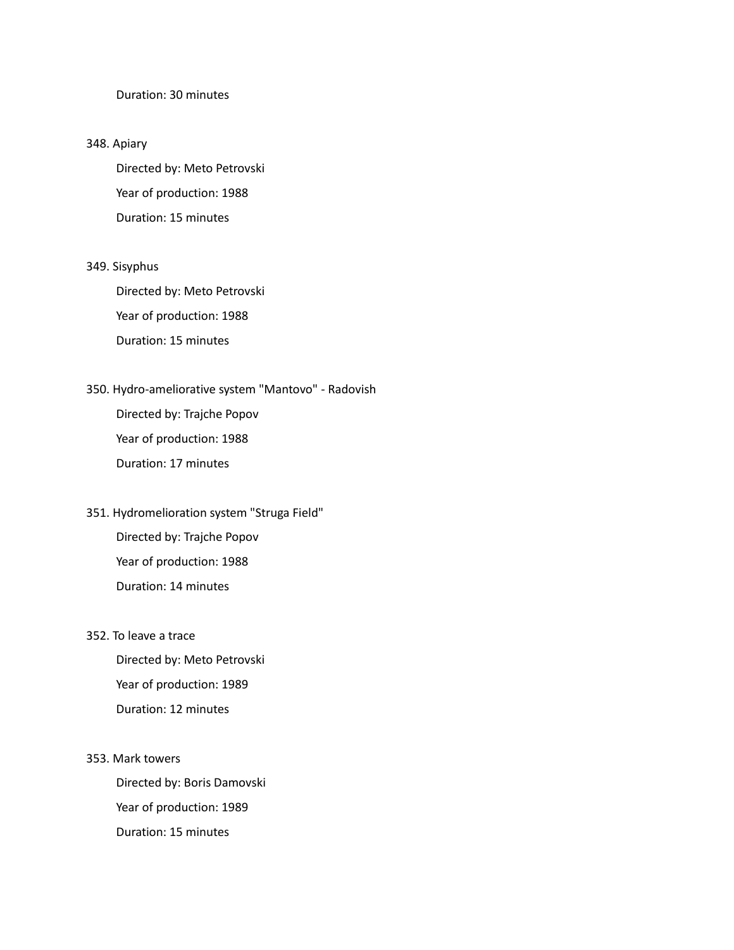#### Duration: 30 minutes

#### 348. Apiary

Directed by: Meto Petrovski Year of production: 1988 Duration: 15 minutes

#### 349. Sisyphus

Directed by: Meto Petrovski Year of production: 1988 Duration: 15 minutes

# 350. Hydro-ameliorative system "Mantovo" - Radovish

Directed by: Trajche Popov Year of production: 1988 Duration: 17 minutes

### 351. Hydromelioration system "Struga Field" Directed by: Trajche Popov

Year of production: 1988 Duration: 14 minutes

#### 352. To leave a trace

Directed by: Meto Petrovski Year of production: 1989 Duration: 12 minutes

353. Mark towers

Directed by: Boris Damovski Year of production: 1989 Duration: 15 minutes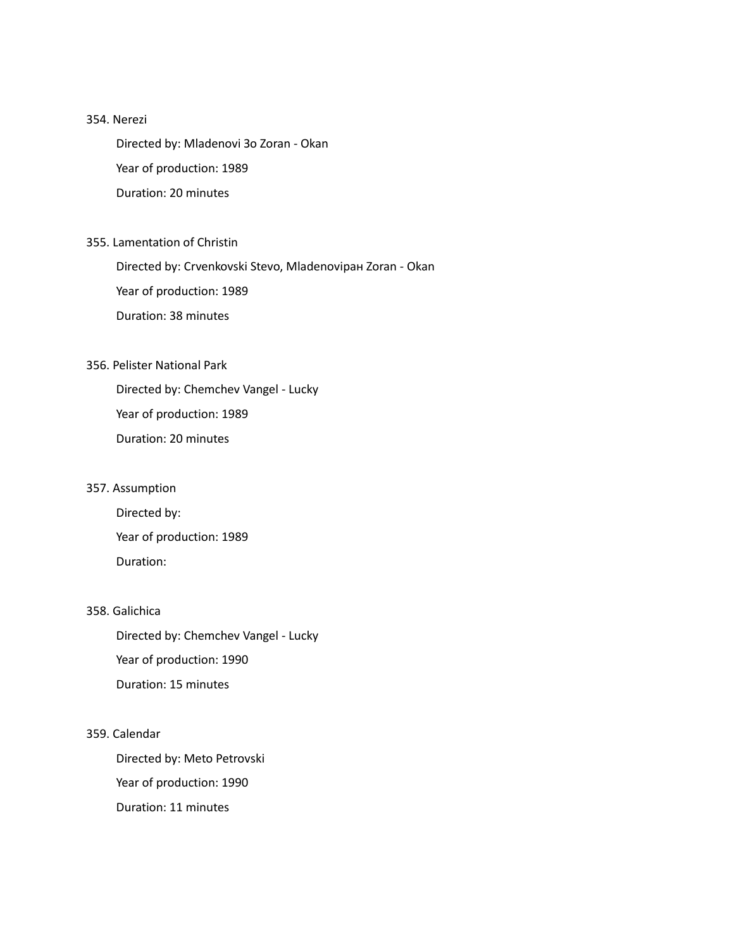#### 354. Nerezi

Directed by: Mladenovi Зо Zoran - Okan Year of production: 1989 Duration: 20 minutes

#### 355. Lamentation of Christin

Directed by: Crvenkovski Stevo, Mladenoviран Zoran - Okan Year of production: 1989 Duration: 38 minutes

#### 356. Pelister National Park

Directed by: Chemchev Vangel - Lucky Year of production: 1989 Duration: 20 minutes

#### 357. Assumption

Directed by: Year of production: 1989 Duration:

#### 358. Galichica

Directed by: Chemchev Vangel - Lucky Year of production: 1990 Duration: 15 minutes

#### 359. Calendar

Directed by: Meto Petrovski Year of production: 1990 Duration: 11 minutes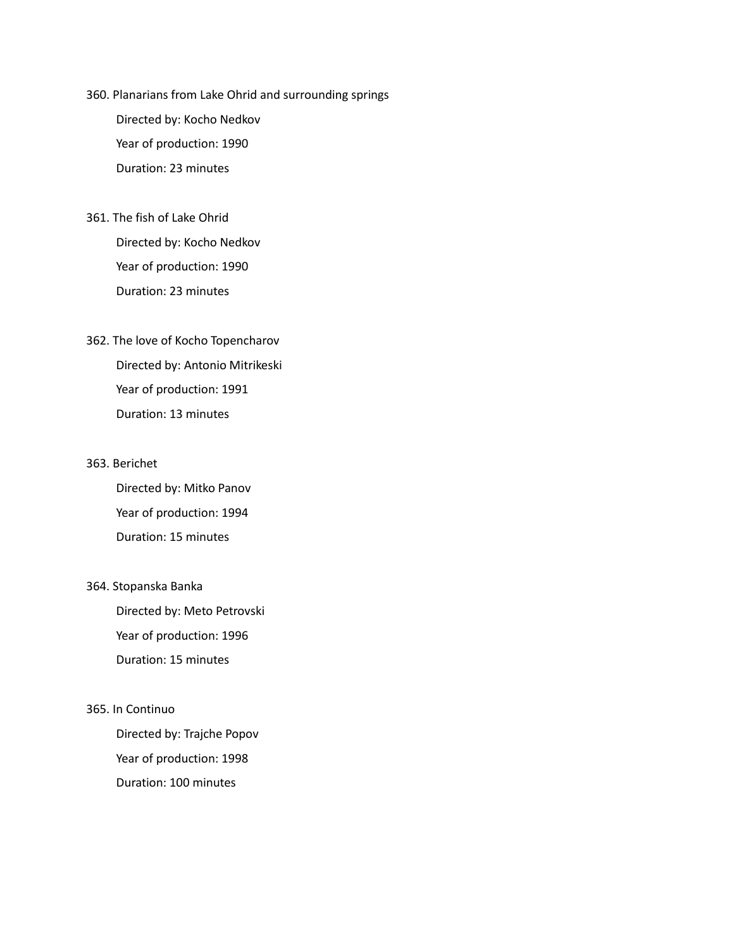- 360. Planarians from Lake Ohrid and surrounding springs Directed by: Kocho Nedkov Year of production: 1990 Duration: 23 minutes
- 361. The fish of Lake Ohrid Directed by: Kocho Nedkov Year of production: 1990 Duration: 23 minutes
- 362. The love of Kocho Topencharov Directed by: Antonio Mitrikeski Year of production: 1991 Duration: 13 minutes

#### 363. Berichet

Directed by: Mitko Panov Year of production: 1994 Duration: 15 minutes

#### 364. Stopanska Banka

Directed by: Meto Petrovski Year of production: 1996 Duration: 15 minutes

#### 365. In Continuo

Directed by: Trajche Popov Year of production: 1998 Duration: 100 minutes